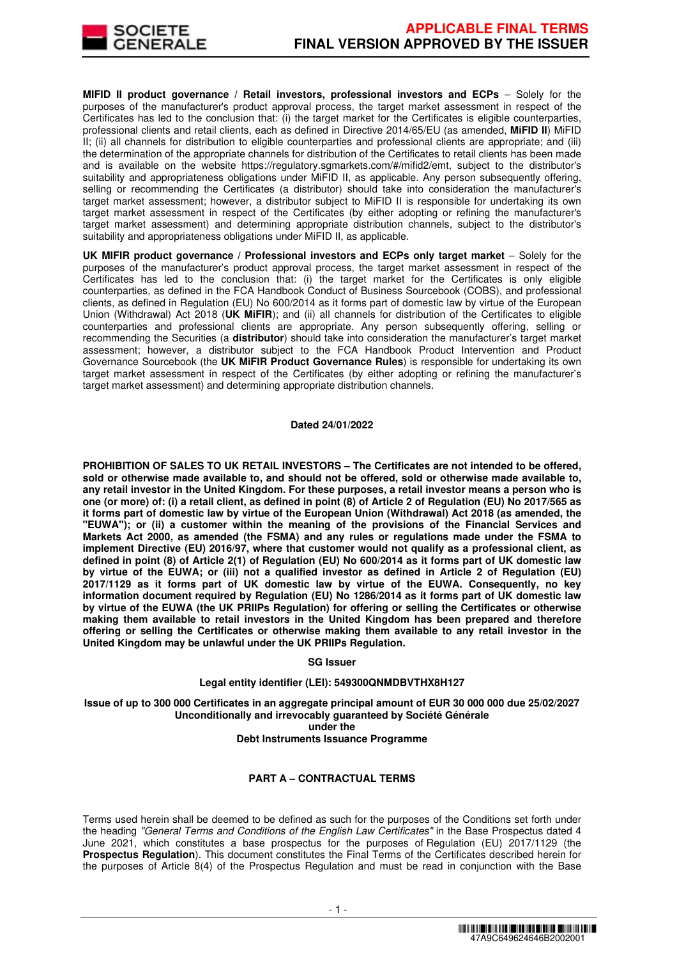

**MIFID II product governance / Retail investors, professional investors and ECPs - Solely for the** purposes of the manufacturer's product approval process, the target market assessment in respect of the Certificates has led to the conclusion that: (i) the target market for the Certificates is eligible counterparties, professional clients and retail clients, each as defined in Directive 2014/65/EU (as amended, **MiFID II**) MiFID II; (ii) all channels for distribution to eligible counterparties and professional clients are appropriate; and (iii) the determination of the appropriate channels for distribution of the Certificates to retail clients has been made and is available on the website https://regulatory.sgmarkets.com/#/mifid2/emt, subject to the distributor's suitability and appropriateness obligations under MiFID II, as applicable. Any person subsequently offering, selling or recommending the Certificates (a distributor) should take into consideration the manufacturer's target market assessment; however, a distributor subject to MiFID II is responsible for undertaking its own target market assessment in respect of the Certificates (by either adopting or refining the manufacturer's target market assessment) and determining appropriate distribution channels, subject to the distributor's suitability and appropriateness obligations under MiFID II, as applicable.

**UK MIFIR product governance / Professional investors and ECPs only target market** – Solely for the purposes of the manufacturer's product approval process, the target market assessment in respect of the Certificates has led to the conclusion that: (i) the target market for the Certificates is only eligible counterparties, as defined in the FCA Handbook Conduct of Business Sourcebook (COBS), and professional clients, as defined in Regulation (EU) No 600/2014 as it forms part of domestic law by virtue of the European Union (Withdrawal) Act 2018 (**UK MiFIR**); and (ii) all channels for distribution of the Certificates to eligible counterparties and professional clients are appropriate. Any person subsequently offering, selling or recommending the Securities (a **distributor**) should take into consideration the manufacturer's target market assessment; however, a distributor subject to the FCA Handbook Product Intervention and Product Governance Sourcebook (the **UK MiFIR Product Governance Rules**) is responsible for undertaking its own target market assessment in respect of the Certificates (by either adopting or refining the manufacturer's target market assessment) and determining appropriate distribution channels.

#### **Dated 24/01/2022**

**PROHIBITION OF SALES TO UK RETAIL INVESTORS – The Certificates are not intended to be offered, sold or otherwise made available to, and should not be offered, sold or otherwise made available to, any retail investor in the United Kingdom. For these purposes, a retail investor means a person who is one (or more) of: (i) a retail client, as defined in point (8) of Article 2 of Regulation (EU) No 2017/565 as it forms part of domestic law by virtue of the European Union (Withdrawal) Act 2018 (as amended, the "EUWA"); or (ii) a customer within the meaning of the provisions of the Financial Services and Markets Act 2000, as amended (the FSMA) and any rules or regulations made under the FSMA to implement Directive (EU) 2016/97, where that customer would not qualify as a professional client, as defined in point (8) of Article 2(1) of Regulation (EU) No 600/2014 as it forms part of UK domestic law by virtue of the EUWA; or (iii) not a qualified investor as defined in Article 2 of Regulation (EU) 2017/1129 as it forms part of UK domestic law by virtue of the EUWA. Consequently, no key information document required by Regulation (EU) No 1286/2014 as it forms part of UK domestic law by virtue of the EUWA (the UK PRIIPs Regulation) for offering or selling the Certificates or otherwise making them available to retail investors in the United Kingdom has been prepared and therefore offering or selling the Certificates or otherwise making them available to any retail investor in the United Kingdom may be unlawful under the UK PRIIPs Regulation.**

#### **SG Issuer**

# **Legal entity identifier (LEI): 549300QNMDBVTHX8H127**

**Issue of up to 300 000 Certificates in an aggregate principal amount of EUR 30 000 000 due 25/02/2027 Unconditionally and irrevocably guaranteed by Société Générale under the** 

### **Debt Instruments Issuance Programme**

# **PART A – CONTRACTUAL TERMS**

Terms used herein shall be deemed to be defined as such for the purposes of the Conditions set forth under the heading "General Terms and Conditions of the English Law Certificates" in the Base Prospectus dated 4 June 2021, which constitutes a base prospectus for the purposes of Regulation (EU) 2017/1129 (the **Prospectus Regulation**). This document constitutes the Final Terms of the Certificates described herein for the purposes of Article 8(4) of the Prospectus Regulation and must be read in conjunction with the Base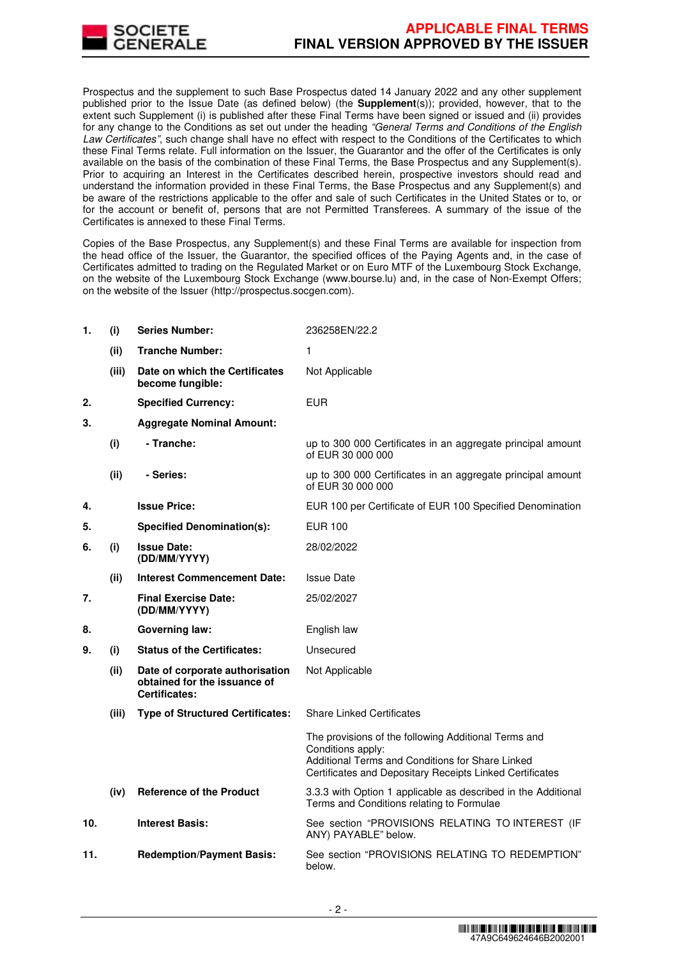

Prospectus and the supplement to such Base Prospectus dated 14 January 2022 and any other supplement published prior to the Issue Date (as defined below) (the **Supplement**(s)); provided, however, that to the extent such Supplement (i) is published after these Final Terms have been signed or issued and (ii) provides for any change to the Conditions as set out under the heading "General Terms and Conditions of the English Law Certificates", such change shall have no effect with respect to the Conditions of the Certificates to which these Final Terms relate. Full information on the Issuer, the Guarantor and the offer of the Certificates is only available on the basis of the combination of these Final Terms, the Base Prospectus and any Supplement(s). Prior to acquiring an Interest in the Certificates described herein, prospective investors should read and understand the information provided in these Final Terms, the Base Prospectus and any Supplement(s) and be aware of the restrictions applicable to the offer and sale of such Certificates in the United States or to, or for the account or benefit of, persons that are not Permitted Transferees. A summary of the issue of the Certificates is annexed to these Final Terms.

Copies of the Base Prospectus, any Supplement(s) and these Final Terms are available for inspection from the head office of the Issuer, the Guarantor, the specified offices of the Paying Agents and, in the case of Certificates admitted to trading on the Regulated Market or on Euro MTF of the Luxembourg Stock Exchange, on the website of the Luxembourg Stock Exchange (www.bourse.lu) and, in the case of Non-Exempt Offers; on the website of the Issuer (http://prospectus.socgen.com).

| 1.  | (i)   | <b>Series Number:</b>                                                                   | 236258EN/22.2                                                                                                                                                                             |
|-----|-------|-----------------------------------------------------------------------------------------|-------------------------------------------------------------------------------------------------------------------------------------------------------------------------------------------|
|     | (ii)  | <b>Tranche Number:</b>                                                                  | 1                                                                                                                                                                                         |
|     | (iii) | Date on which the Certificates<br>become fungible:                                      | Not Applicable                                                                                                                                                                            |
| 2.  |       | <b>Specified Currency:</b>                                                              | <b>EUR</b>                                                                                                                                                                                |
| 3.  |       | <b>Aggregate Nominal Amount:</b>                                                        |                                                                                                                                                                                           |
|     | (i)   | - Tranche:                                                                              | up to 300 000 Certificates in an aggregate principal amount<br>of EUR 30 000 000                                                                                                          |
|     | (ii)  | - Series:                                                                               | up to 300 000 Certificates in an aggregate principal amount<br>of EUR 30 000 000                                                                                                          |
| 4.  |       | <b>Issue Price:</b>                                                                     | EUR 100 per Certificate of EUR 100 Specified Denomination                                                                                                                                 |
| 5.  |       | <b>Specified Denomination(s):</b>                                                       | <b>EUR 100</b>                                                                                                                                                                            |
| 6.  | (i)   | <b>Issue Date:</b><br>(DD/MM/YYYY)                                                      | 28/02/2022                                                                                                                                                                                |
|     | (ii)  | <b>Interest Commencement Date:</b>                                                      | <b>Issue Date</b>                                                                                                                                                                         |
| 7.  |       | <b>Final Exercise Date:</b><br>(DD/MM/YYYY)                                             | 25/02/2027                                                                                                                                                                                |
| 8.  |       | <b>Governing law:</b>                                                                   | English law                                                                                                                                                                               |
| 9.  | (i)   | <b>Status of the Certificates:</b>                                                      | Unsecured                                                                                                                                                                                 |
|     | (ii)  | Date of corporate authorisation<br>obtained for the issuance of<br><b>Certificates:</b> | Not Applicable                                                                                                                                                                            |
|     | (iii) | <b>Type of Structured Certificates:</b>                                                 | <b>Share Linked Certificates</b>                                                                                                                                                          |
|     |       |                                                                                         | The provisions of the following Additional Terms and<br>Conditions apply:<br>Additional Terms and Conditions for Share Linked<br>Certificates and Depositary Receipts Linked Certificates |
|     | (iv)  | <b>Reference of the Product</b>                                                         | 3.3.3 with Option 1 applicable as described in the Additional<br>Terms and Conditions relating to Formulae                                                                                |
| 10. |       | <b>Interest Basis:</b>                                                                  | See section "PROVISIONS RELATING TO INTEREST (IF<br>ANY) PAYABLE" below.                                                                                                                  |
| 11. |       | <b>Redemption/Payment Basis:</b>                                                        | See section "PROVISIONS RELATING TO REDEMPTION"<br>below.                                                                                                                                 |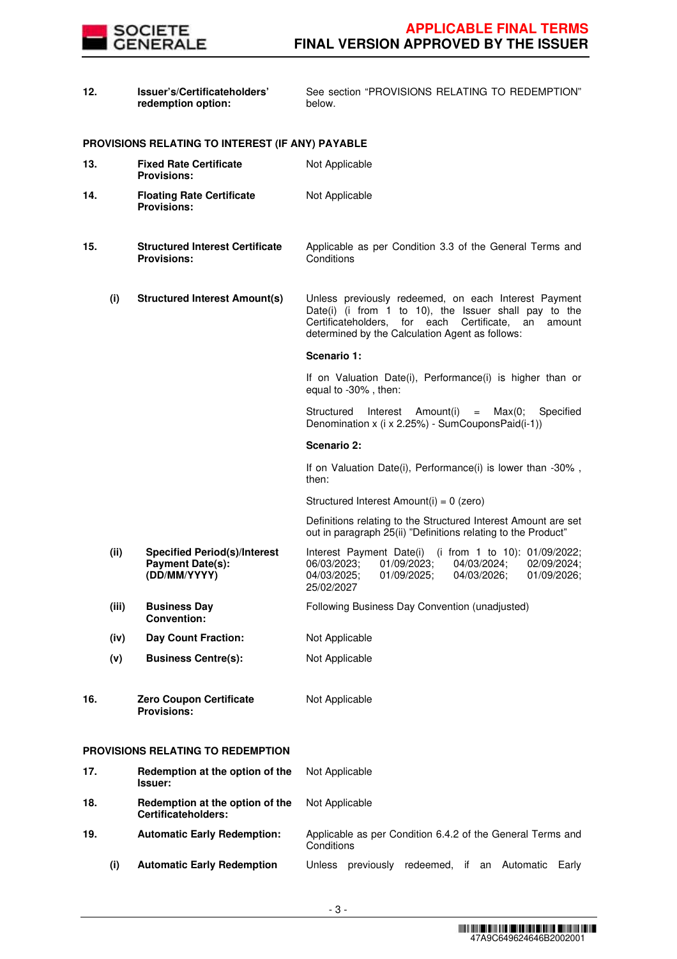

| 12. |       | Issuer's/Certificateholders'<br>redemption option:                             | See section "PROVISIONS RELATING TO REDEMPTION"<br>below.                                                                                                                                                                     |
|-----|-------|--------------------------------------------------------------------------------|-------------------------------------------------------------------------------------------------------------------------------------------------------------------------------------------------------------------------------|
|     |       | PROVISIONS RELATING TO INTEREST (IF ANY) PAYABLE                               |                                                                                                                                                                                                                               |
| 13. |       | <b>Fixed Rate Certificate</b><br><b>Provisions:</b>                            | Not Applicable                                                                                                                                                                                                                |
| 14. |       | <b>Floating Rate Certificate</b><br><b>Provisions:</b>                         | Not Applicable                                                                                                                                                                                                                |
| 15. |       | <b>Structured Interest Certificate</b><br><b>Provisions:</b>                   | Applicable as per Condition 3.3 of the General Terms and<br>Conditions                                                                                                                                                        |
|     | (i)   | <b>Structured Interest Amount(s)</b>                                           | Unless previously redeemed, on each Interest Payment<br>Date(i) (i from 1 to 10), the Issuer shall pay to the<br>Certificateholders, for each Certificate,<br>an<br>amount<br>determined by the Calculation Agent as follows: |
|     |       |                                                                                | Scenario 1:                                                                                                                                                                                                                   |
|     |       |                                                                                | If on Valuation Date(i), Performance(i) is higher than or<br>equal to -30%, then:                                                                                                                                             |
|     |       |                                                                                | Amount(i)<br>Specified<br>Structured<br>Interest<br>Max(0;<br>$=$<br>Denomination x (i x 2.25%) - SumCouponsPaid(i-1))                                                                                                        |
|     |       |                                                                                | Scenario 2:                                                                                                                                                                                                                   |
|     |       |                                                                                | If on Valuation Date(i), Performance(i) is lower than -30%,<br>then:                                                                                                                                                          |
|     |       |                                                                                | Structured Interest Amount(i) = 0 (zero)                                                                                                                                                                                      |
|     |       |                                                                                | Definitions relating to the Structured Interest Amount are set<br>out in paragraph 25(ii) "Definitions relating to the Product"                                                                                               |
|     | (ii)  | <b>Specified Period(s)/Interest</b><br><b>Payment Date(s):</b><br>(DD/MM/YYYY) | Interest Payment Date(i)<br>(i from 1 to 10): 01/09/2022;<br>06/03/2023;<br>01/09/2023;<br>04/03/2024;<br>02/09/2024;<br>01/09/2026;<br>04/03/2025;<br>01/09/2025;<br>04/03/2026;<br>25/02/2027                               |
|     | (iii) | <b>Business Day</b><br><b>Convention:</b>                                      | Following Business Day Convention (unadjusted)                                                                                                                                                                                |
|     | (iv)  | <b>Day Count Fraction:</b>                                                     | Not Applicable                                                                                                                                                                                                                |
|     | (v)   | <b>Business Centre(s):</b>                                                     | Not Applicable                                                                                                                                                                                                                |
| 16. |       | <b>Zero Coupon Certificate</b><br><b>Provisions:</b>                           | Not Applicable                                                                                                                                                                                                                |
|     |       | PROVISIONS RELATING TO REDEMPTION                                              |                                                                                                                                                                                                                               |
| 17. |       | Redemption at the option of the<br><b>Issuer:</b>                              | Not Applicable                                                                                                                                                                                                                |
| 18. |       | Redemption at the option of the<br><b>Certificateholders:</b>                  | Not Applicable                                                                                                                                                                                                                |
| 19. |       | <b>Automatic Early Redemption:</b>                                             | Applicable as per Condition 6.4.2 of the General Terms and<br>Conditions                                                                                                                                                      |

**(i) Automatic Early Redemption** Unless previously redeemed, if an Automatic Early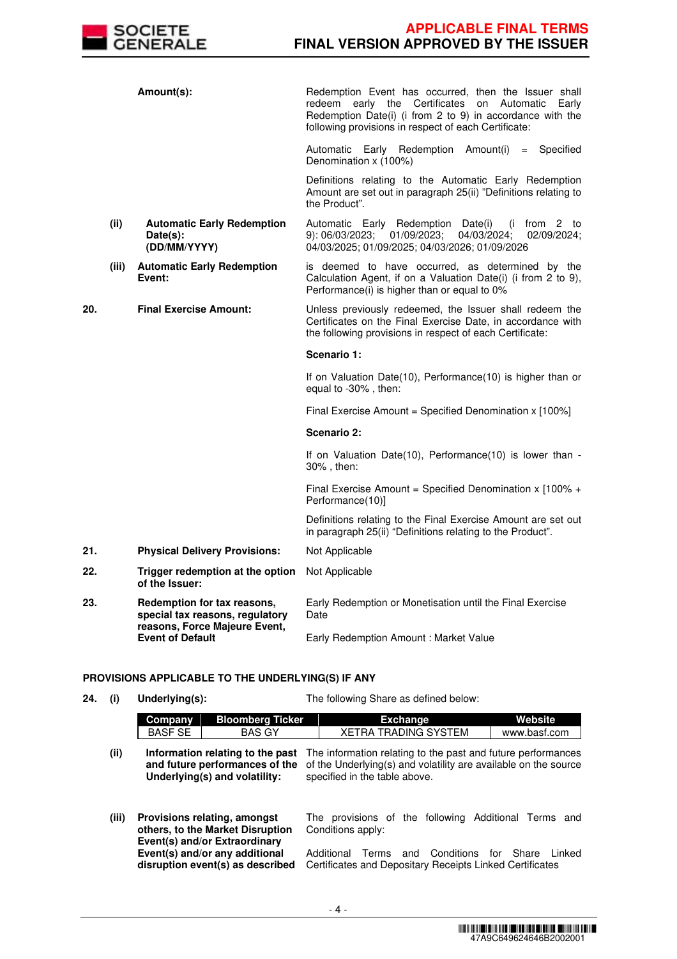

|     |                                                          | Amount(s):                                                     | Redemption Event has occurred, then the Issuer shall<br>Certificates<br>redeem<br>early the<br>on<br>Automatic<br>Early<br>Redemption Date(i) (i from 2 to 9) in accordance with the<br>following provisions in respect of each Certificate: |
|-----|----------------------------------------------------------|----------------------------------------------------------------|----------------------------------------------------------------------------------------------------------------------------------------------------------------------------------------------------------------------------------------------|
|     |                                                          |                                                                | Automatic Early Redemption<br>Amount(i)<br>= Specified<br>Denomination x (100%)                                                                                                                                                              |
|     |                                                          |                                                                | Definitions relating to the Automatic Early Redemption<br>Amount are set out in paragraph 25(ii) "Definitions relating to<br>the Product".                                                                                                   |
|     | (ii)                                                     | <b>Automatic Early Redemption</b><br>Date(s):<br>(DD/MM/YYYY)  | Automatic Early Redemption Date(i)<br>(i from 2 to<br>02/09/2024;<br>9): 06/03/2023;<br>01/09/2023;<br>04/03/2024;<br>04/03/2025; 01/09/2025; 04/03/2026; 01/09/2026                                                                         |
|     | (iii)                                                    | <b>Automatic Early Redemption</b><br>Event:                    | is deemed to have occurred, as determined by the<br>Calculation Agent, if on a Valuation Date(i) (i from 2 to 9),<br>Performance(i) is higher than or equal to 0%                                                                            |
| 20. |                                                          | <b>Final Exercise Amount:</b>                                  | Unless previously redeemed, the Issuer shall redeem the<br>Certificates on the Final Exercise Date, in accordance with<br>the following provisions in respect of each Certificate:                                                           |
|     |                                                          |                                                                | Scenario 1:                                                                                                                                                                                                                                  |
|     |                                                          |                                                                | If on Valuation Date(10), Performance(10) is higher than or<br>equal to -30%, then:                                                                                                                                                          |
|     |                                                          |                                                                | Final Exercise Amount = Specified Denomination x [100%]                                                                                                                                                                                      |
|     |                                                          |                                                                | Scenario 2:                                                                                                                                                                                                                                  |
|     |                                                          |                                                                | If on Valuation Date(10), Performance(10) is lower than -<br>30%, then:                                                                                                                                                                      |
|     |                                                          |                                                                | Final Exercise Amount = Specified Denomination $x$ [100% +<br>Performance(10)]                                                                                                                                                               |
|     |                                                          |                                                                | Definitions relating to the Final Exercise Amount are set out<br>in paragraph 25(ii) "Definitions relating to the Product".                                                                                                                  |
| 21. |                                                          | <b>Physical Delivery Provisions:</b>                           | Not Applicable                                                                                                                                                                                                                               |
| 22. |                                                          | Trigger redemption at the option<br>of the Issuer:             | Not Applicable                                                                                                                                                                                                                               |
| 23. |                                                          | Redemption for tax reasons,<br>special tax reasons, regulatory | Early Redemption or Monetisation until the Final Exercise<br>Date                                                                                                                                                                            |
|     | reasons, Force Majeure Event,<br><b>Event of Default</b> | Early Redemption Amount: Market Value                          |                                                                                                                                                                                                                                              |

# **PROVISIONS APPLICABLE TO THE UNDERLYING(S) IF ANY**

**24. (i) Underlying(s):** The following Share as defined below:

|      | Company | <b>Bloomberg Ticker</b> | Exchange                                                                                             | Website      |
|------|---------|-------------------------|------------------------------------------------------------------------------------------------------|--------------|
|      | BASF SE | BAS GY                  | XETRA TRADING SYSTEM                                                                                 | www.basf.com |
| (ii) |         |                         | <b>Information relating to the past</b> The information relating to the past and future performances |              |

|                               | Information relating to the past The information relating to the past and future performances  |
|-------------------------------|------------------------------------------------------------------------------------------------|
|                               | and future performances of the of the Underlying(s) and volatility are available on the source |
| Underlying(s) and volatility: | specified in the table above.                                                                  |
|                               |                                                                                                |

**(iii) Provisions relating, amongst others, to the Market Disruption Event(s) and/or Extraordinary Event(s) and/or any additional disruption event(s) as described**  The provisions of the following Additional Terms and Conditions apply: Additional Terms and Conditions for Share Linked Certificates and Depositary Receipts Linked Certificates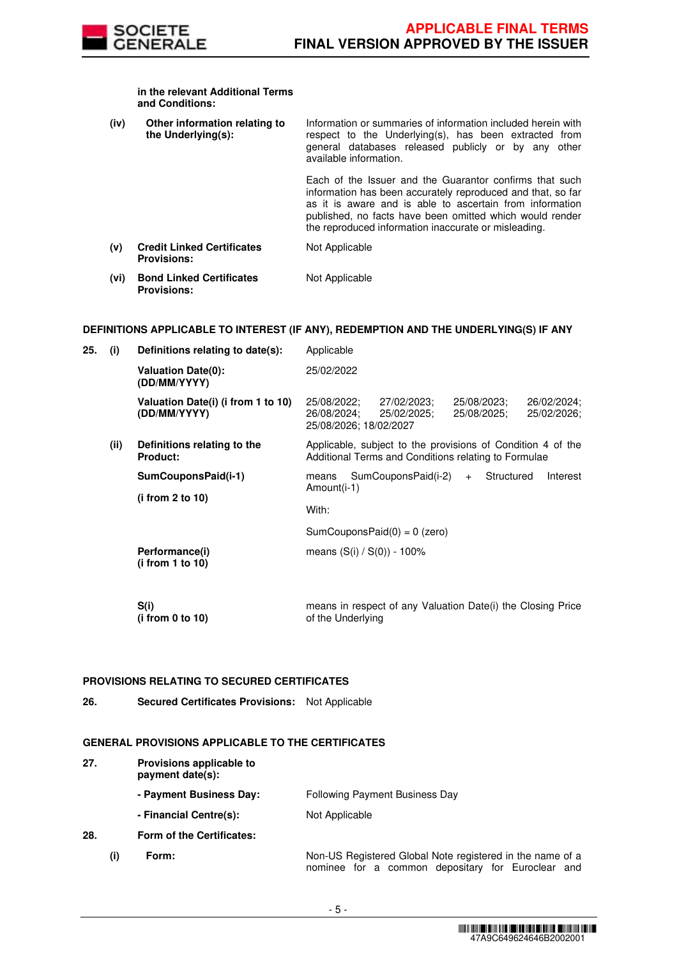

#### **in the relevant Additional Terms and Conditions:**

| (iv) | Other information relating to<br>the Underlying(s):     | Information or summaries of information included herein with<br>respect to the Underlying(s), has been extracted from<br>general databases released publicly or by any other<br>available information.                                                                                                 |
|------|---------------------------------------------------------|--------------------------------------------------------------------------------------------------------------------------------------------------------------------------------------------------------------------------------------------------------------------------------------------------------|
|      |                                                         | Each of the Issuer and the Guarantor confirms that such<br>information has been accurately reproduced and that, so far<br>as it is aware and is able to ascertain from information<br>published, no facts have been omitted which would render<br>the reproduced information inaccurate or misleading. |
| (v)  | <b>Credit Linked Certificates</b><br><b>Provisions:</b> | Not Applicable                                                                                                                                                                                                                                                                                         |
| (vi) | <b>Bond Linked Certificates</b><br><b>Provisions:</b>   | Not Applicable                                                                                                                                                                                                                                                                                         |

# **DEFINITIONS APPLICABLE TO INTEREST (IF ANY), REDEMPTION AND THE UNDERLYING(S) IF ANY**

| 25. | (i)  | Definitions relating to date(s):                   | Applicable                                                                                                                                     |
|-----|------|----------------------------------------------------|------------------------------------------------------------------------------------------------------------------------------------------------|
|     |      | <b>Valuation Date(0):</b><br>(DD/MM/YYYY)          | 25/02/2022                                                                                                                                     |
|     |      | Valuation Date(i) (i from 1 to 10)<br>(DD/MM/YYYY) | 25/08/2022:<br>27/02/2023;<br>25/08/2023;<br>26/02/2024;<br>26/08/2024;<br>25/02/2025;<br>25/08/2025;<br>25/02/2026;<br>25/08/2026; 18/02/2027 |
|     | (ii) | Definitions relating to the<br><b>Product:</b>     | Applicable, subject to the provisions of Condition 4 of the<br>Additional Terms and Conditions relating to Formulae                            |
|     |      | SumCouponsPaid(i-1)<br>(i from 2 to 10)            | SumCouponsPaid(i-2)<br>Structured<br>Interest<br>means<br>$+$<br>Amount(i-1)                                                                   |
|     |      |                                                    | With:                                                                                                                                          |
|     |      |                                                    | SumCouponsPaid $(0) = 0$ (zero)                                                                                                                |
|     |      | Performance(i)<br>(i from 1 to 10)                 | means $(S(i) / S(0)) - 100\%$                                                                                                                  |
|     |      | S(i)<br>(i from 0 to 10)                           | means in respect of any Valuation Date(i) the Closing Price<br>of the Underlying                                                               |

# **PROVISIONS RELATING TO SECURED CERTIFICATES**

**26. Secured Certificates Provisions:** Not Applicable

# **GENERAL PROVISIONS APPLICABLE TO THE CERTIFICATES**

| 27. |     | Provisions applicable to<br>payment date(s): |                                                                                                                |
|-----|-----|----------------------------------------------|----------------------------------------------------------------------------------------------------------------|
|     |     | - Payment Business Day:                      | <b>Following Payment Business Day</b>                                                                          |
|     |     | - Financial Centre(s):                       | Not Applicable                                                                                                 |
| 28. |     | <b>Form of the Certificates:</b>             |                                                                                                                |
|     | (i) | Form:                                        | Non-US Registered Global Note registered in the name of a<br>nominee for a common depositary for Euroclear and |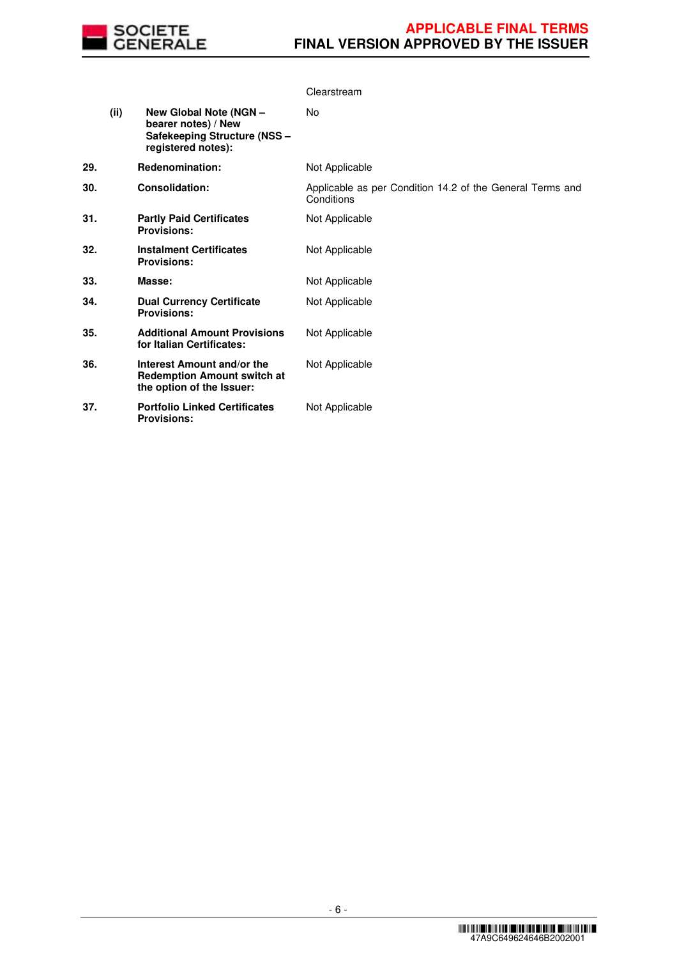

|     |      |                                                                                                     | Clearstream                                                             |
|-----|------|-----------------------------------------------------------------------------------------------------|-------------------------------------------------------------------------|
|     | (ii) | New Global Note (NGN -<br>bearer notes) / New<br>Safekeeping Structure (NSS -<br>registered notes): | No                                                                      |
| 29. |      | Redenomination:                                                                                     | Not Applicable                                                          |
| 30. |      | <b>Consolidation:</b>                                                                               | Applicable as per Condition 14.2 of the General Terms and<br>Conditions |
| 31. |      | <b>Partly Paid Certificates</b><br><b>Provisions:</b>                                               | Not Applicable                                                          |
| 32. |      | <b>Instalment Certificates</b><br><b>Provisions:</b>                                                | Not Applicable                                                          |
| 33. |      | Masse:                                                                                              | Not Applicable                                                          |
| 34. |      | <b>Dual Currency Certificate</b><br><b>Provisions:</b>                                              | Not Applicable                                                          |
| 35. |      | <b>Additional Amount Provisions</b><br>for Italian Certificates:                                    | Not Applicable                                                          |
| 36. |      | Interest Amount and/or the<br><b>Redemption Amount switch at</b><br>the option of the Issuer:       | Not Applicable                                                          |
| 37. |      | <b>Portfolio Linked Certificates</b><br><b>Provisions:</b>                                          | Not Applicable                                                          |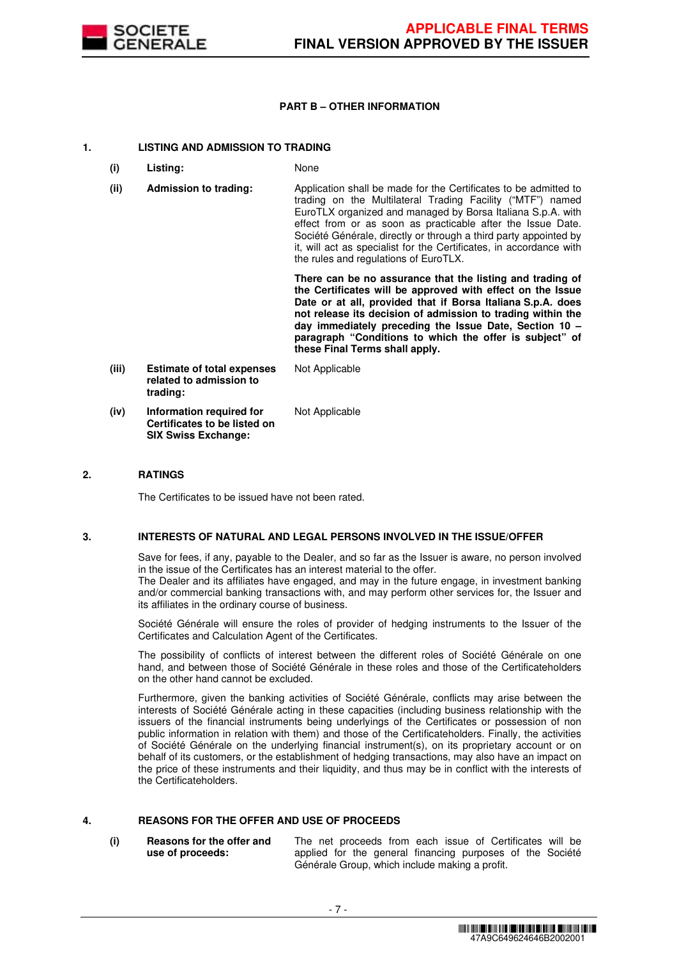

# **PART B – OTHER INFORMATION**

# **1. LISTING AND ADMISSION TO TRADING**

- **(i) Listing:** None
- **(ii) Admission to trading:** Application shall be made for the Certificates to be admitted to trading on the Multilateral Trading Facility ("MTF") named EuroTLX organized and managed by Borsa Italiana S.p.A. with effect from or as soon as practicable after the Issue Date. Société Générale, directly or through a third party appointed by it, will act as specialist for the Certificates, in accordance with the rules and regulations of EuroTLX.

 **There can be no assurance that the listing and trading of the Certificates will be approved with effect on the Issue Date or at all, provided that if Borsa Italiana S.p.A. does not release its decision of admission to trading within the day immediately preceding the Issue Date, Section 10 – paragraph "Conditions to which the offer is subject" of these Final Terms shall apply.**

**(iii) Estimate of total expenses related to admission to trading:** Not Applicable **(iv) Information required for Certificates to be listed on SIX Swiss Exchange:** Not Applicable

# **2. RATINGS**

The Certificates to be issued have not been rated.

# **3. INTERESTS OF NATURAL AND LEGAL PERSONS INVOLVED IN THE ISSUE/OFFER**

 Save for fees, if any, payable to the Dealer, and so far as the Issuer is aware, no person involved in the issue of the Certificates has an interest material to the offer.

The Dealer and its affiliates have engaged, and may in the future engage, in investment banking and/or commercial banking transactions with, and may perform other services for, the Issuer and its affiliates in the ordinary course of business.

 Société Générale will ensure the roles of provider of hedging instruments to the Issuer of the Certificates and Calculation Agent of the Certificates.

 The possibility of conflicts of interest between the different roles of Société Générale on one hand, and between those of Société Générale in these roles and those of the Certificateholders on the other hand cannot be excluded.

 Furthermore, given the banking activities of Société Générale, conflicts may arise between the interests of Société Générale acting in these capacities (including business relationship with the issuers of the financial instruments being underlyings of the Certificates or possession of non public information in relation with them) and those of the Certificateholders. Finally, the activities of Société Générale on the underlying financial instrument(s), on its proprietary account or on behalf of its customers, or the establishment of hedging transactions, may also have an impact on the price of these instruments and their liquidity, and thus may be in conflict with the interests of the Certificateholders.

# **4. REASONS FOR THE OFFER AND USE OF PROCEEDS**

**(i) Reasons for the offer and use of proceeds:**

The net proceeds from each issue of Certificates will be applied for the general financing purposes of the Société Générale Group, which include making a profit.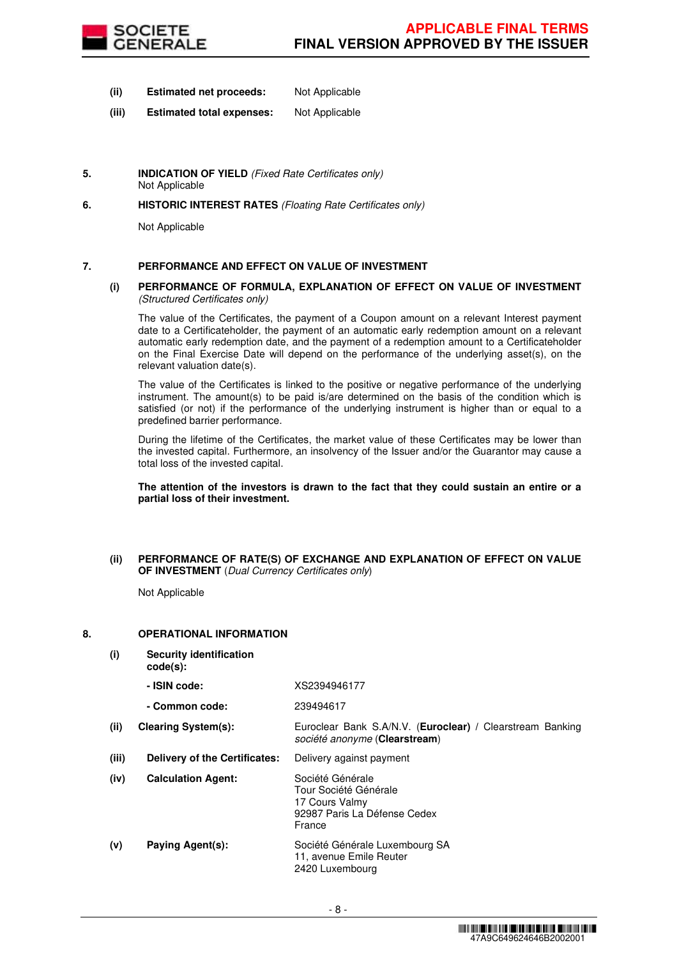

- **(ii) Estimated net proceeds:** Not Applicable
- **(iii) Estimated total expenses:** Not Applicable
- **5. INDICATION OF YIELD** (Fixed Rate Certificates only) Not Applicable
- **6. HISTORIC INTEREST RATES** (Floating Rate Certificates only)

Not Applicable

# **7. PERFORMANCE AND EFFECT ON VALUE OF INVESTMENT**

## **(i) PERFORMANCE OF FORMULA, EXPLANATION OF EFFECT ON VALUE OF INVESTMENT**  (Structured Certificates only)

 The value of the Certificates, the payment of a Coupon amount on a relevant Interest payment date to a Certificateholder, the payment of an automatic early redemption amount on a relevant automatic early redemption date, and the payment of a redemption amount to a Certificateholder on the Final Exercise Date will depend on the performance of the underlying asset(s), on the relevant valuation date(s).

 The value of the Certificates is linked to the positive or negative performance of the underlying instrument. The amount(s) to be paid is/are determined on the basis of the condition which is satisfied (or not) if the performance of the underlying instrument is higher than or equal to a predefined barrier performance.

 During the lifetime of the Certificates, the market value of these Certificates may be lower than the invested capital. Furthermore, an insolvency of the Issuer and/or the Guarantor may cause a total loss of the invested capital.

**The attention of the investors is drawn to the fact that they could sustain an entire or a partial loss of their investment.**

## **(ii) PERFORMANCE OF RATE(S) OF EXCHANGE AND EXPLANATION OF EFFECT ON VALUE OF INVESTMENT** (Dual Currency Certificates only)

Not Applicable

# **8. OPERATIONAL INFORMATION**

**(i) Security identification code(s): - ISIN code:** XS2394946177 **- Common code:** 239494617 **(ii) Clearing System(s):** Euroclear Bank S.A/N.V. (**Euroclear) /** Clearstream Banking société anonyme (**Clearstream**) **(iii) Delivery of the Certificates:** Delivery against payment **(iv) Calculation Agent:** Société Générale Tour Société Générale 17 Cours Valmy 92987 Paris La Défense Cedex France **(v) Paying Agent(s):** Société Générale Luxembourg SA 11, avenue Emile Reuter 2420 Luxembourg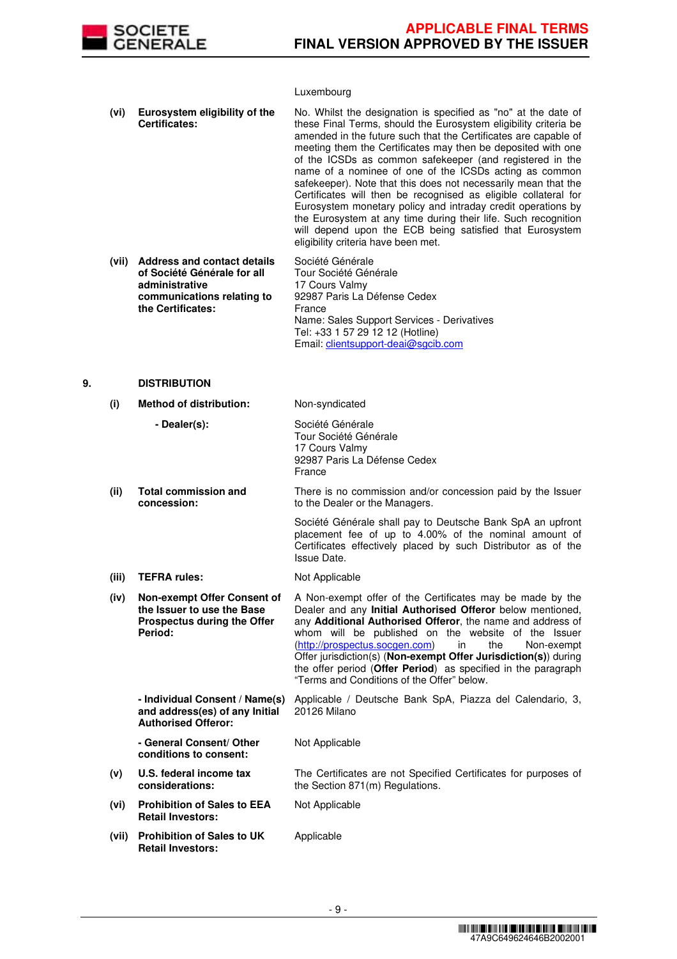

# Luxembourg

|    | (vi)  | Eurosystem eligibility of the<br>Certificates:                                                                                         | No. Whilst the designation is specified as "no" at the date of<br>these Final Terms, should the Eurosystem eligibility criteria be<br>amended in the future such that the Certificates are capable of<br>meeting them the Certificates may then be deposited with one<br>of the ICSDs as common safekeeper (and registered in the<br>name of a nominee of one of the ICSDs acting as common<br>safekeeper). Note that this does not necessarily mean that the<br>Certificates will then be recognised as eligible collateral for<br>Eurosystem monetary policy and intraday credit operations by<br>the Eurosystem at any time during their life. Such recognition<br>will depend upon the ECB being satisfied that Eurosystem<br>eligibility criteria have been met. |
|----|-------|----------------------------------------------------------------------------------------------------------------------------------------|-----------------------------------------------------------------------------------------------------------------------------------------------------------------------------------------------------------------------------------------------------------------------------------------------------------------------------------------------------------------------------------------------------------------------------------------------------------------------------------------------------------------------------------------------------------------------------------------------------------------------------------------------------------------------------------------------------------------------------------------------------------------------|
|    | (vii) | <b>Address and contact details</b><br>of Société Générale for all<br>administrative<br>communications relating to<br>the Certificates: | Société Générale<br>Tour Société Générale<br>17 Cours Valmy<br>92987 Paris La Défense Cedex<br>France<br>Name: Sales Support Services - Derivatives<br>Tel: +33 1 57 29 12 12 (Hotline)<br>Email: clientsupport-deai@sgcib.com                                                                                                                                                                                                                                                                                                                                                                                                                                                                                                                                        |
| 9. |       | <b>DISTRIBUTION</b>                                                                                                                    |                                                                                                                                                                                                                                                                                                                                                                                                                                                                                                                                                                                                                                                                                                                                                                       |
|    | (i)   | <b>Method of distribution:</b>                                                                                                         | Non-syndicated                                                                                                                                                                                                                                                                                                                                                                                                                                                                                                                                                                                                                                                                                                                                                        |
|    |       | - Dealer(s):                                                                                                                           | Société Générale<br>Tour Société Générale                                                                                                                                                                                                                                                                                                                                                                                                                                                                                                                                                                                                                                                                                                                             |

**(ii) Total commission and concession:** There is no commission and/or concession paid by the Issuer to the Dealer or the Managers. Société Générale shall pay to Deutsche Bank SpA an upfront

92987 Paris La Défense Cedex

17 Cours Valmy

France

placement fee of up to 4.00% of the nominal amount of Certificates effectively placed by such Distributor as of the Issue Date.

The Certificates are not Specified Certificates for purposes of

- (iii) **TEFRA rules:** Not Applicable
- **(iv) Non-exempt Offer Consent of the Issuer to use the Base Prospectus during the Offer Period:** A Non-exempt offer of the Certificates may be made by the Dealer and any **Initial Authorised Offeror** below mentioned, any **Additional Authorised Offeror**, the name and address of whom will be published on the website of the Issuer (http://prospectus.socgen.com) in the Non-exempt Offer jurisdiction(s) (**Non-exempt Offer Jurisdiction(s)**) during the offer period (**Offer Period**) as specified in the paragraph "Terms and Conditions of the Offer" below.

 **- Individual Consent / Name(s) and address(es) of any Initial Authorised Offeror:** Applicable / Deutsche Bank SpA, Piazza del Calendario, 3, 20126 Milano

the Section 871(m) Regulations.

Not Applicable

Not Applicable

 **- General Consent/ Other conditions to consent:**

- **(v) U.S. federal income tax considerations:**
- **(vi) Prohibition of Sales to EEA Retail Investors:**
- **(vii) Prohibition of Sales to UK Retail Investors:** Applicable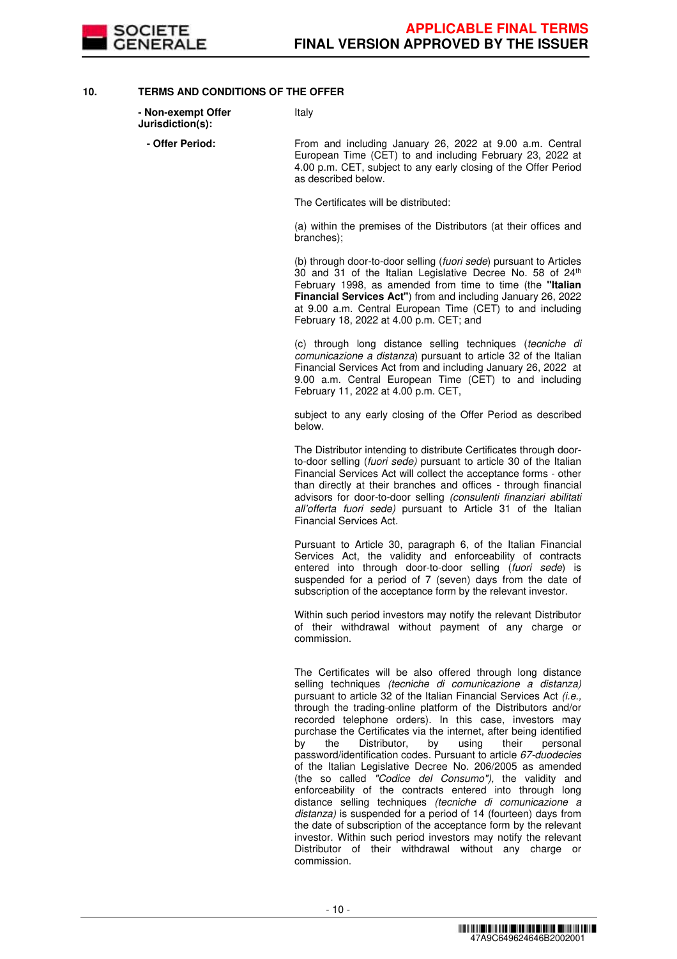

# **10. TERMS AND CONDITIONS OF THE OFFER**

| - Non-exempt Offer<br>Jurisdiction(s): | Italy                                                                                                                                                                                                                                                                                                                              |
|----------------------------------------|------------------------------------------------------------------------------------------------------------------------------------------------------------------------------------------------------------------------------------------------------------------------------------------------------------------------------------|
| - Offer Period:                        | From and including January 26, 2022 at 9.00 a.m. Central<br>European Time (CET) to and including February 23, 2022 at<br>4.00 p.m. CET, subject to any early closing of the Offer Period<br>as described below.                                                                                                                    |
|                                        | The Certificates will be distributed:                                                                                                                                                                                                                                                                                              |
|                                        | (a) within the premises of the Distributors (at their offices and<br>branches);                                                                                                                                                                                                                                                    |
|                                        | (b) through door-to-door selling (fuori sede) pursuant to Articles<br>30 and 31 of the Italian Legislative Decree No. 58 of 24th<br>February 1998, as amended from time to time (the "Italian<br><b>Financial Services Act"</b> ) from and including January 26, 2022<br>at 9.00 a.m. Central European Time (CET) to and including |

February 18, 2022 at 4.00 p.m. CET; and

(c) through long distance selling techniques (tecniche di comunicazione a distanza) pursuant to article 32 of the Italian Financial Services Act from and including January 26, 2022 at 9.00 a.m. Central European Time (CET) to and including February 11, 2022 at 4.00 p.m. CET,

subject to any early closing of the Offer Period as described below.

The Distributor intending to distribute Certificates through doorto-door selling (fuori sede) pursuant to article 30 of the Italian Financial Services Act will collect the acceptance forms - other than directly at their branches and offices - through financial advisors for door-to-door selling (consulenti finanziari abilitati all'offerta fuori sede) pursuant to Article 31 of the Italian Financial Services Act.

Pursuant to Article 30, paragraph 6, of the Italian Financial Services Act, the validity and enforceability of contracts entered into through door-to-door selling (fuori sede) is suspended for a period of 7 (seven) days from the date of subscription of the acceptance form by the relevant investor.

Within such period investors may notify the relevant Distributor of their withdrawal without payment of any charge or commission.

The Certificates will be also offered through long distance selling techniques (tecniche di comunicazione a distanza) pursuant to article 32 of the Italian Financial Services Act (i.e., through the trading-online platform of the Distributors and/or recorded telephone orders). In this case, investors may purchase the Certificates via the internet, after being identified<br>by the Distributor, by using their personal **by** the Distributor. password/identification codes. Pursuant to article 67-duodecies of the Italian Legislative Decree No. 206/2005 as amended (the so called "Codice del Consumo"), the validity and enforceability of the contracts entered into through long distance selling techniques (tecniche di comunicazione a distanza) is suspended for a period of 14 (fourteen) days from the date of subscription of the acceptance form by the relevant investor. Within such period investors may notify the relevant Distributor of their withdrawal without any charge or commission.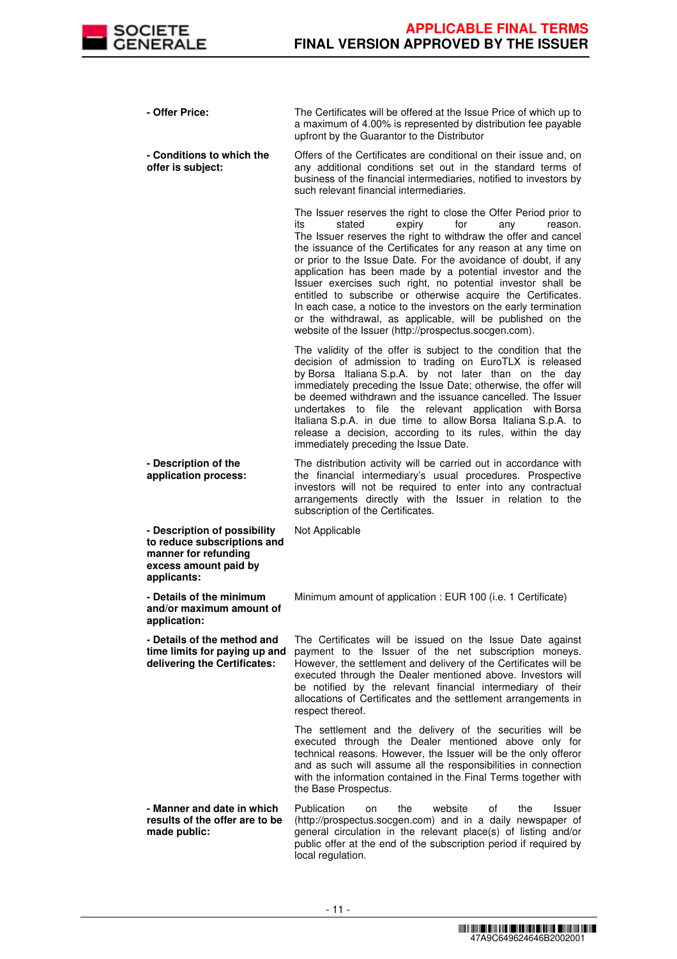

| - Offer Price:                                                                                                              | The Certificates will be offered at the Issue Price of which up to<br>a maximum of 4.00% is represented by distribution fee payable<br>upfront by the Guarantor to the Distributor                                                                                                                                                                                                                                                                                                                                                                                                                                                                                                                                |
|-----------------------------------------------------------------------------------------------------------------------------|-------------------------------------------------------------------------------------------------------------------------------------------------------------------------------------------------------------------------------------------------------------------------------------------------------------------------------------------------------------------------------------------------------------------------------------------------------------------------------------------------------------------------------------------------------------------------------------------------------------------------------------------------------------------------------------------------------------------|
| - Conditions to which the<br>offer is subject:                                                                              | Offers of the Certificates are conditional on their issue and, on<br>any additional conditions set out in the standard terms of<br>business of the financial intermediaries, notified to investors by<br>such relevant financial intermediaries.                                                                                                                                                                                                                                                                                                                                                                                                                                                                  |
|                                                                                                                             | The Issuer reserves the right to close the Offer Period prior to<br>stated<br>expiry<br>for<br>its<br>any<br>reason.<br>The Issuer reserves the right to withdraw the offer and cancel<br>the issuance of the Certificates for any reason at any time on<br>or prior to the Issue Date. For the avoidance of doubt, if any<br>application has been made by a potential investor and the<br>Issuer exercises such right, no potential investor shall be<br>entitled to subscribe or otherwise acquire the Certificates.<br>In each case, a notice to the investors on the early termination<br>or the withdrawal, as applicable, will be published on the<br>website of the Issuer (http://prospectus.socgen.com). |
|                                                                                                                             | The validity of the offer is subject to the condition that the<br>decision of admission to trading on EuroTLX is released<br>by Borsa Italiana S.p.A. by not later than on the day<br>immediately preceding the Issue Date; otherwise, the offer will<br>be deemed withdrawn and the issuance cancelled. The Issuer<br>undertakes to file the relevant application with Borsa<br>Italiana S.p.A. in due time to allow Borsa Italiana S.p.A. to<br>release a decision, according to its rules, within the day<br>immediately preceding the Issue Date.                                                                                                                                                             |
| - Description of the<br>application process:                                                                                | The distribution activity will be carried out in accordance with<br>the financial intermediary's usual procedures. Prospective<br>investors will not be required to enter into any contractual<br>arrangements directly with the Issuer in relation to the<br>subscription of the Certificates.                                                                                                                                                                                                                                                                                                                                                                                                                   |
| - Description of possibility<br>to reduce subscriptions and<br>manner for refunding<br>excess amount paid by<br>applicants: | Not Applicable                                                                                                                                                                                                                                                                                                                                                                                                                                                                                                                                                                                                                                                                                                    |
| - Details of the minimum<br>and/or maximum amount of<br>application:                                                        | Minimum amount of application : EUR 100 (i.e. 1 Certificate)                                                                                                                                                                                                                                                                                                                                                                                                                                                                                                                                                                                                                                                      |
| - Details of the method and<br>time limits for paying up and<br>delivering the Certificates:                                | The Certificates will be issued on the Issue Date against<br>payment to the Issuer of the net subscription moneys.<br>However, the settlement and delivery of the Certificates will be<br>executed through the Dealer mentioned above. Investors will<br>be notified by the relevant financial intermediary of their<br>allocations of Certificates and the settlement arrangements in<br>respect thereof.                                                                                                                                                                                                                                                                                                        |
|                                                                                                                             | The settlement and the delivery of the securities will be<br>executed through the Dealer mentioned above only for<br>technical reasons. However, the Issuer will be the only offeror<br>and as such will assume all the responsibilities in connection<br>with the information contained in the Final Terms together with<br>the Base Prospectus.                                                                                                                                                                                                                                                                                                                                                                 |
| - Manner and date in which<br>results of the offer are to be<br>made public:                                                | Publication<br>website<br>of<br>the<br>the<br><b>Issuer</b><br>on<br>(http://prospectus.socgen.com) and in a daily newspaper of<br>general circulation in the relevant place(s) of listing and/or<br>public offer at the end of the subscription period if required by<br>local regulation.                                                                                                                                                                                                                                                                                                                                                                                                                       |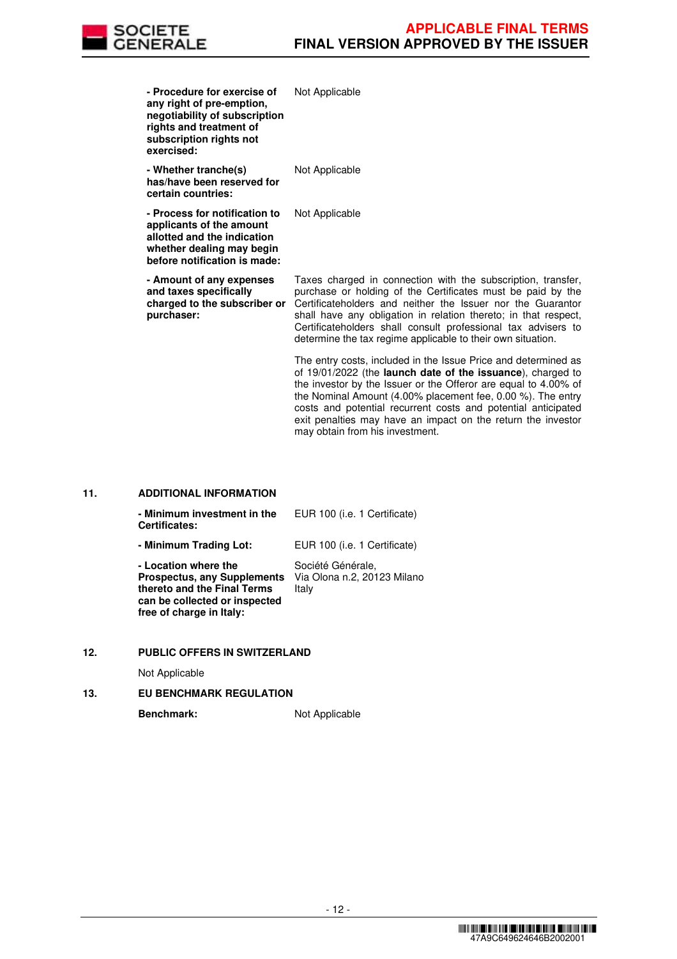

costs and potential recurrent costs and potential anticipated exit penalties may have an impact on the return the investor

| - Procedure for exercise of<br>any right of pre-emption,<br>negotiability of subscription<br>rights and treatment of<br>subscription rights not<br>exercised: | Not Applicable                                                                                                                                                                                                                                                                                                                                                                                |
|---------------------------------------------------------------------------------------------------------------------------------------------------------------|-----------------------------------------------------------------------------------------------------------------------------------------------------------------------------------------------------------------------------------------------------------------------------------------------------------------------------------------------------------------------------------------------|
| - Whether tranche(s)<br>has/have been reserved for<br>certain countries:                                                                                      | Not Applicable                                                                                                                                                                                                                                                                                                                                                                                |
| - Process for notification to<br>applicants of the amount<br>allotted and the indication<br>whether dealing may begin<br>before notification is made:         | Not Applicable                                                                                                                                                                                                                                                                                                                                                                                |
| - Amount of any expenses<br>and taxes specifically<br>charged to the subscriber or<br>purchaser:                                                              | Taxes charged in connection with the subscription, transfer,<br>purchase or holding of the Certificates must be paid by the<br>Certificateholders and neither the Issuer nor the Guarantor<br>shall have any obligation in relation thereto; in that respect,<br>Certificateholders shall consult professional tax advisers to<br>determine the tax regime applicable to their own situation. |
|                                                                                                                                                               | The entry costs, included in the Issue Price and determined as<br>of 19/01/2022 (the <b>launch date of the issuance</b> ), charged to<br>the investor by the Issuer or the Offeror are equal to 4.00% of<br>the Nominal Amount $(4.00\%$ placement fee, 0.00 %). The entry                                                                                                                    |

may obtain from his investment.

# **11. ADDITIONAL INFORMATION**

| - Minimum investment in the<br><b>Certificates:</b>                                                                                                    | EUR 100 (i.e. 1 Certificate)                              |
|--------------------------------------------------------------------------------------------------------------------------------------------------------|-----------------------------------------------------------|
| - Minimum Trading Lot:                                                                                                                                 | EUR 100 (i.e. 1 Certificate)                              |
| - Location where the<br><b>Prospectus, any Supplements</b><br>thereto and the Final Terms<br>can be collected or inspected<br>free of charge in Italy: | Société Générale,<br>Via Olona n.2, 20123 Milano<br>Italy |

### **12. PUBLIC OFFERS IN SWITZERLAND**

Not Applicable

# **13. EU BENCHMARK REGULATION**

Benchmark: Not Applicable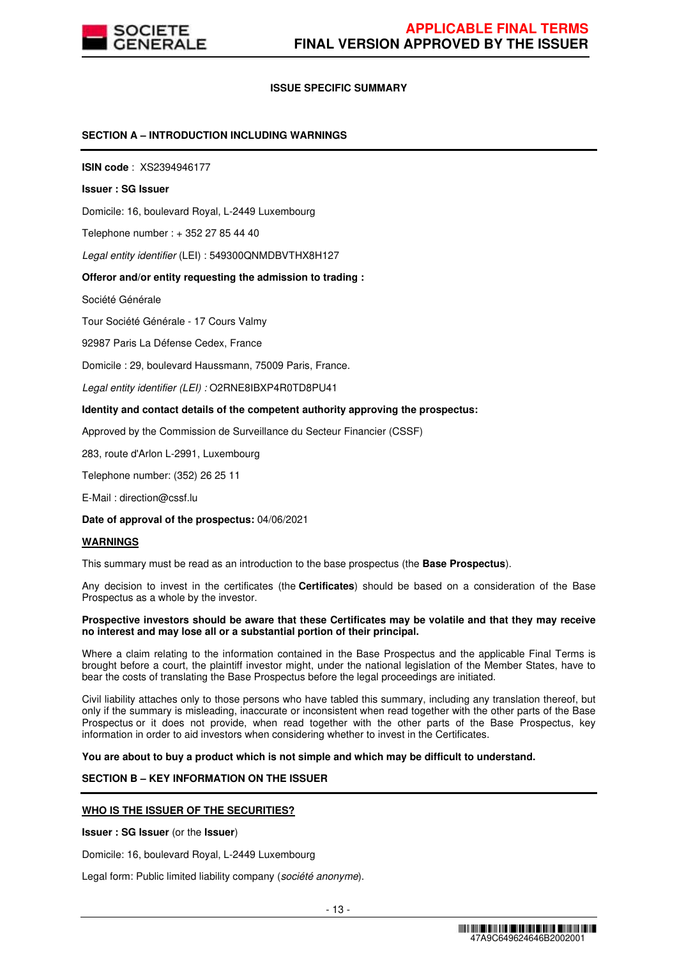

# **ISSUE SPECIFIC SUMMARY**

# **SECTION A – INTRODUCTION INCLUDING WARNINGS**

**ISIN code** : XS2394946177

#### **Issuer : SG Issuer**

Domicile: 16, boulevard Royal, L-2449 Luxembourg

Telephone number : + 352 27 85 44 40

Legal entity identifier (LEI) : 549300QNMDBVTHX8H127

#### **Offeror and/or entity requesting the admission to trading :**

Société Générale

Tour Société Générale - 17 Cours Valmy

92987 Paris La Défense Cedex, France

Domicile : 29, boulevard Haussmann, 75009 Paris, France.

Legal entity identifier (LEI) : O2RNE8IBXP4R0TD8PU41

#### **Identity and contact details of the competent authority approving the prospectus:**

Approved by the Commission de Surveillance du Secteur Financier (CSSF)

283, route d'Arlon L-2991, Luxembourg

Telephone number: (352) 26 25 11

E-Mail : direction@cssf.lu

**Date of approval of the prospectus:** 04/06/2021

#### **WARNINGS**

This summary must be read as an introduction to the base prospectus (the **Base Prospectus**).

Any decision to invest in the certificates (the **Certificates**) should be based on a consideration of the Base Prospectus as a whole by the investor.

#### **Prospective investors should be aware that these Certificates may be volatile and that they may receive no interest and may lose all or a substantial portion of their principal.**

Where a claim relating to the information contained in the Base Prospectus and the applicable Final Terms is brought before a court, the plaintiff investor might, under the national legislation of the Member States, have to bear the costs of translating the Base Prospectus before the legal proceedings are initiated.

Civil liability attaches only to those persons who have tabled this summary, including any translation thereof, but only if the summary is misleading, inaccurate or inconsistent when read together with the other parts of the Base Prospectus or it does not provide, when read together with the other parts of the Base Prospectus, key information in order to aid investors when considering whether to invest in the Certificates.

**You are about to buy a product which is not simple and which may be difficult to understand.**

# **SECTION B – KEY INFORMATION ON THE ISSUER**

# **WHO IS THE ISSUER OF THE SECURITIES?**

**Issuer : SG Issuer** (or the **Issuer**)

Domicile: 16, boulevard Royal, L-2449 Luxembourg

Legal form: Public limited liability company (société anonyme).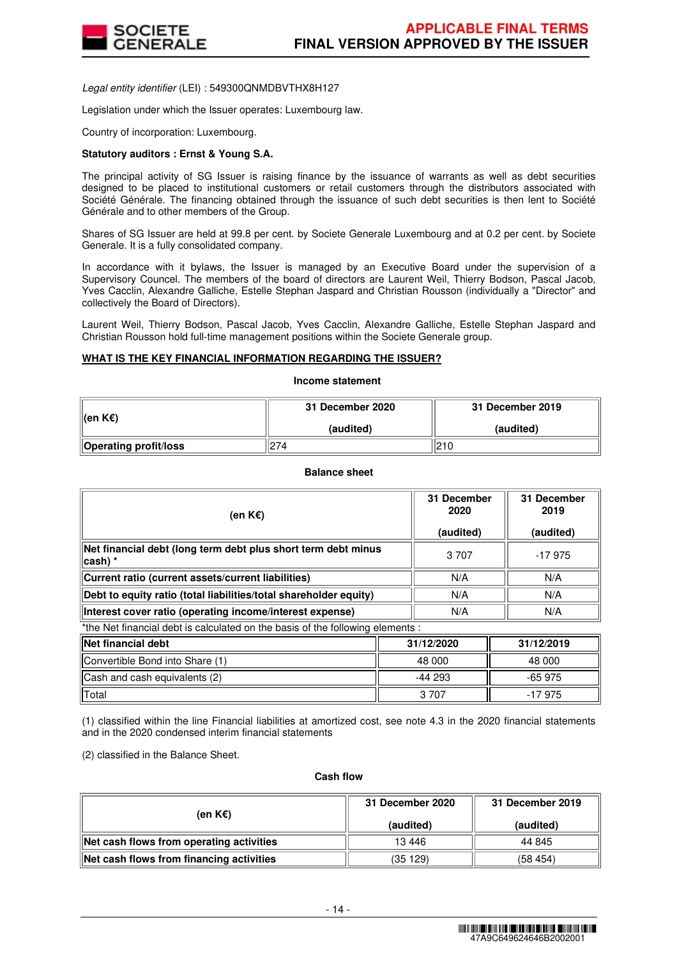

Legal entity identifier (LEI) : 549300QNMDBVTHX8H127

Legislation under which the Issuer operates: Luxembourg law.

Country of incorporation: Luxembourg.

# **Statutory auditors : Ernst & Young S.A.**

The principal activity of SG Issuer is raising finance by the issuance of warrants as well as debt securities designed to be placed to institutional customers or retail customers through the distributors associated with Société Générale. The financing obtained through the issuance of such debt securities is then lent to Société Générale and to other members of the Group.

Shares of SG Issuer are held at 99.8 per cent. by Societe Generale Luxembourg and at 0.2 per cent. by Societe Generale. It is a fully consolidated company.

In accordance with it bylaws, the Issuer is managed by an Executive Board under the supervision of a Supervisory Councel. The members of the board of directors are Laurent Weil, Thierry Bodson, Pascal Jacob, Yves Cacclin, Alexandre Galliche, Estelle Stephan Jaspard and Christian Rousson (individually a "Director" and collectively the Board of Directors).

Laurent Weil, Thierry Bodson, Pascal Jacob, Yves Cacclin, Alexandre Galliche, Estelle Stephan Jaspard and Christian Rousson hold full-time management positions within the Societe Generale group.

# **WHAT IS THE KEY FINANCIAL INFORMATION REGARDING THE ISSUER?**

**Income statement**

| ∥(en K€)                     | 31 December 2020 | 31 December 2019 |  |
|------------------------------|------------------|------------------|--|
|                              | (audited)        | (audited)        |  |
| <b>Operating profit/loss</b> | 274              | 210              |  |

# **Balance sheet**

| (en K€)                                                                        | 31 December<br>2020<br>(audited) | 31 December<br>2019<br>(audited) |  |  |
|--------------------------------------------------------------------------------|----------------------------------|----------------------------------|--|--|
| Net financial debt (long term debt plus short term debt minus<br>∣cash) *      | 3 7 0 7                          | -17975                           |  |  |
| Current ratio (current assets/current liabilities)                             | N/A                              | N/A                              |  |  |
| Debt to equity ratio (total liabilities/total shareholder equity)              | N/A                              | N/A                              |  |  |
| Interest cover ratio (operating income/interest expense)                       | N/A                              | N/A                              |  |  |
| *the Net financial debt is calculated on the basis of the following elements : |                                  |                                  |  |  |

| <b>Net financial debt</b>       | 31/12/2020 | 31/12/2019 |  |
|---------------------------------|------------|------------|--|
| Convertible Bond into Share (1) | 48 000     | 48 000     |  |
| Cash and cash equivalents (2)   | $-44293$   | $-65975$   |  |
| <b>Total</b>                    | 3 707      | -17 975    |  |

(1) classified within the line Financial liabilities at amortized cost, see note 4.3 in the 2020 financial statements and in the 2020 condensed interim financial statements

(2) classified in the Balance Sheet.

#### **Cash flow**

| (en K€)                                  | 31 December 2020 | 31 December 2019 |  |
|------------------------------------------|------------------|------------------|--|
|                                          | (audited)        | (audited)        |  |
| Net cash flows from operating activities | 13 4 46          | 44 845           |  |
| Net cash flows from financing activities | (35 129)         | (58454)          |  |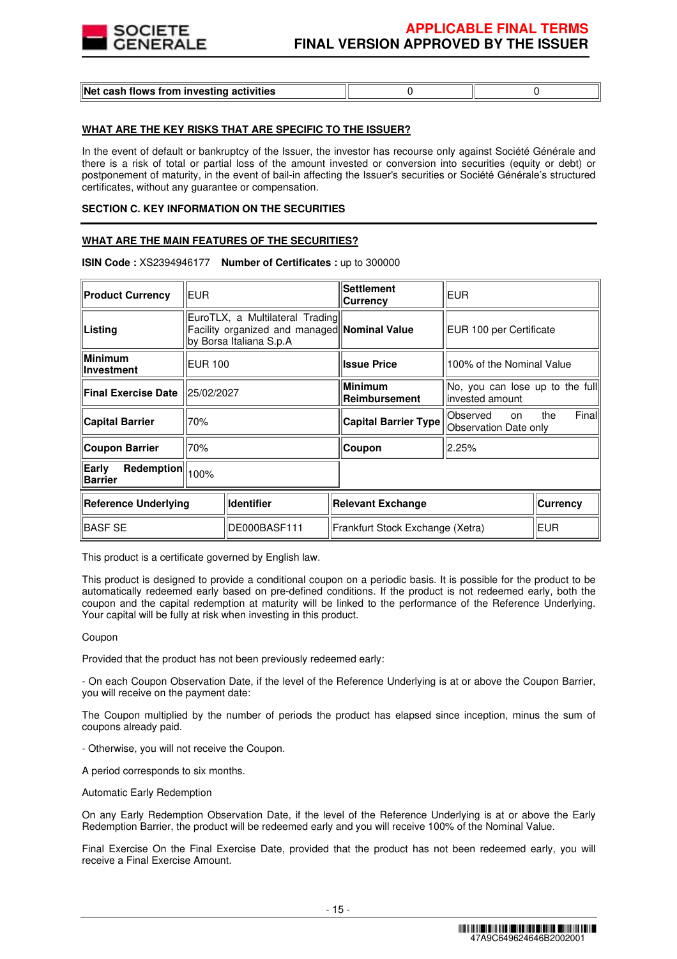

# **WHAT ARE THE KEY RISKS THAT ARE SPECIFIC TO THE ISSUER?**

In the event of default or bankruptcy of the Issuer, the investor has recourse only against Société Générale and there is a risk of total or partial loss of the amount invested or conversion into securities (equity or debt) or postponement of maturity, in the event of bail-in affecting the Issuer's securities or Société Générale's structured certificates, without any guarantee or compensation.

## **SECTION C. KEY INFORMATION ON THE SECURITIES**

# **WHAT ARE THE MAIN FEATURES OF THE SECURITIES?**

| <b>EUR</b><br><b>Product Currency</b> |                                                                                                            |                   | <b>Settlement</b><br>Currency    | <b>EUR</b>                                          |                 |
|---------------------------------------|------------------------------------------------------------------------------------------------------------|-------------------|----------------------------------|-----------------------------------------------------|-----------------|
| Listing                               | EuroTLX, a Multilateral Trading<br>Facility organized and managed Nominal Value<br>by Borsa Italiana S.p.A |                   |                                  | EUR 100 per Certificate                             |                 |
| Minimum<br><b>Investment</b>          | <b>EUR 100</b>                                                                                             |                   | <b>Issue Price</b>               | 100% of the Nominal Value                           |                 |
| <b>Final Exercise Date</b>            | 25/02/2027                                                                                                 |                   | <b>Minimum</b><br>Reimbursement  | No, you can lose up to the full<br>linvested amount |                 |
| <b>Capital Barrier</b>                | 70%                                                                                                        |                   | <b>Capital Barrier Type</b>      | lObserved<br>on<br>Observation Date only            | Final <br>the   |
| Coupon Barrier                        | 70%                                                                                                        |                   | Coupon                           | 2.25%                                               |                 |
| Early<br><b>Barrier</b>               | Redemption<br>100%                                                                                         |                   |                                  |                                                     |                 |
| Reference Underlying                  |                                                                                                            | <b>Identifier</b> | Relevant Exchange                |                                                     | <b>Currency</b> |
| <b>BASF SE</b>                        | DE000BASF111                                                                                               |                   | Frankfurt Stock Exchange (Xetra) |                                                     | <b>EUR</b>      |

#### **ISIN Code :** XS2394946177 **Number of Certificates :** up to 300000

This product is a certificate governed by English law.

This product is designed to provide a conditional coupon on a periodic basis. It is possible for the product to be automatically redeemed early based on pre-defined conditions. If the product is not redeemed early, both the coupon and the capital redemption at maturity will be linked to the performance of the Reference Underlying. Your capital will be fully at risk when investing in this product.

#### Coupon

Provided that the product has not been previously redeemed early:

- On each Coupon Observation Date, if the level of the Reference Underlying is at or above the Coupon Barrier, you will receive on the payment date:

The Coupon multiplied by the number of periods the product has elapsed since inception, minus the sum of coupons already paid.

- Otherwise, you will not receive the Coupon.

A period corresponds to six months.

Automatic Early Redemption

On any Early Redemption Observation Date, if the level of the Reference Underlying is at or above the Early Redemption Barrier, the product will be redeemed early and you will receive 100% of the Nominal Value.

Final Exercise On the Final Exercise Date, provided that the product has not been redeemed early, you will receive a Final Exercise Amount.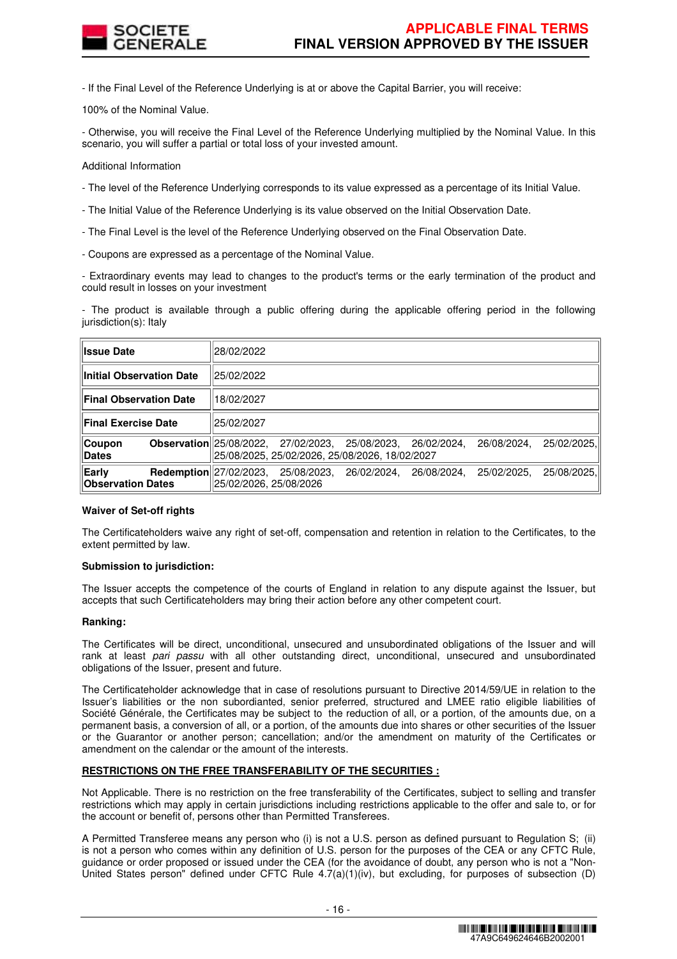

- If the Final Level of the Reference Underlying is at or above the Capital Barrier, you will receive:

100% of the Nominal Value.

- Otherwise, you will receive the Final Level of the Reference Underlying multiplied by the Nominal Value. In this scenario, you will suffer a partial or total loss of your invested amount.

Additional Information

- The level of the Reference Underlying corresponds to its value expressed as a percentage of its Initial Value.

- The Initial Value of the Reference Underlying is its value observed on the Initial Observation Date.
- The Final Level is the level of the Reference Underlying observed on the Final Observation Date.
- Coupons are expressed as a percentage of the Nominal Value.

- Extraordinary events may lead to changes to the product's terms or the early termination of the product and could result in losses on your investment

- The product is available through a public offering during the applicable offering period in the following jurisdiction(s): Italy

| <b>Ilssue Date</b>                | 28/02/2022                                                                                                                                         |
|-----------------------------------|----------------------------------------------------------------------------------------------------------------------------------------------------|
| ∥Initial Observation Date         | 25/02/2022                                                                                                                                         |
| Final Observation Date            | 18/02/2027                                                                                                                                         |
| ∥Final Exercise Date              | 25/02/2027                                                                                                                                         |
| ∥Coupon<br><b>∥Dates</b>          | <b>Observation</b> 25/08/2022, 27/02/2023, 25/08/2023, 26/02/2024,<br>25/02/2025,<br>26/08/2024,<br>25/08/2025, 25/02/2026, 25/08/2026, 18/02/2027 |
| Early<br><b>Observation Dates</b> | <b>Redemption</b> 27/02/2023,<br>25/08/2025.<br>25/08/2023,<br>26/08/2024,<br>25/02/2025,<br>26/02/2024.<br>25/02/2026, 25/08/2026                 |

# **Waiver of Set-off rights**

The Certificateholders waive any right of set-off, compensation and retention in relation to the Certificates, to the extent permitted by law.

#### **Submission to jurisdiction:**

The Issuer accepts the competence of the courts of England in relation to any dispute against the Issuer, but accepts that such Certificateholders may bring their action before any other competent court.

#### **Ranking:**

The Certificates will be direct, unconditional, unsecured and unsubordinated obligations of the Issuer and will rank at least pari passu with all other outstanding direct, unconditional, unsecured and unsubordinated obligations of the Issuer, present and future.

The Certificateholder acknowledge that in case of resolutions pursuant to Directive 2014/59/UE in relation to the Issuer's liabilities or the non subordianted, senior preferred, structured and LMEE ratio eligible liabilities of Société Générale, the Certificates may be subject to the reduction of all, or a portion, of the amounts due, on a permanent basis, a conversion of all, or a portion, of the amounts due into shares or other securities of the Issuer or the Guarantor or another person; cancellation; and/or the amendment on maturity of the Certificates or amendment on the calendar or the amount of the interests.

# **RESTRICTIONS ON THE FREE TRANSFERABILITY OF THE SECURITIES :**

Not Applicable. There is no restriction on the free transferability of the Certificates, subject to selling and transfer restrictions which may apply in certain jurisdictions including restrictions applicable to the offer and sale to, or for the account or benefit of, persons other than Permitted Transferees.

A Permitted Transferee means any person who (i) is not a U.S. person as defined pursuant to Regulation S; (ii) is not a person who comes within any definition of U.S. person for the purposes of the CEA or any CFTC Rule, guidance or order proposed or issued under the CEA (for the avoidance of doubt, any person who is not a "Non-United States person" defined under CFTC Rule 4.7(a)(1)(iv), but excluding, for purposes of subsection (D)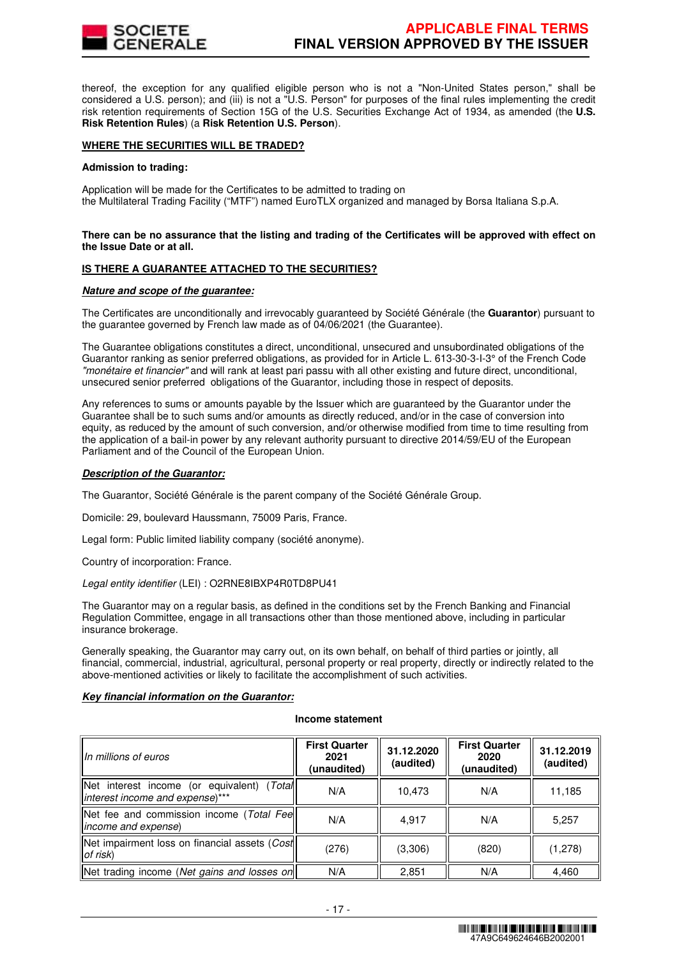

thereof, the exception for any qualified eligible person who is not a "Non-United States person," shall be considered a U.S. person); and (iii) is not a "U.S. Person" for purposes of the final rules implementing the credit risk retention requirements of Section 15G of the U.S. Securities Exchange Act of 1934, as amended (the **U.S. Risk Retention Rules**) (a **Risk Retention U.S. Person**).

# **WHERE THE SECURITIES WILL BE TRADED?**

#### **Admission to trading:**

Application will be made for the Certificates to be admitted to trading on the Multilateral Trading Facility ("MTF") named EuroTLX organized and managed by Borsa Italiana S.p.A.

#### **There can be no assurance that the listing and trading of the Certificates will be approved with effect on the Issue Date or at all.**

#### **IS THERE A GUARANTEE ATTACHED TO THE SECURITIES?**

#### **Nature and scope of the guarantee:**

The Certificates are unconditionally and irrevocably guaranteed by Société Générale (the **Guarantor**) pursuant to the guarantee governed by French law made as of 04/06/2021 (the Guarantee).

The Guarantee obligations constitutes a direct, unconditional, unsecured and unsubordinated obligations of the Guarantor ranking as senior preferred obligations, as provided for in Article L. 613-30-3-I-3° of the French Code "monétaire et financier" and will rank at least pari passu with all other existing and future direct, unconditional, unsecured senior preferred obligations of the Guarantor, including those in respect of deposits.

Any references to sums or amounts payable by the Issuer which are guaranteed by the Guarantor under the Guarantee shall be to such sums and/or amounts as directly reduced, and/or in the case of conversion into equity, as reduced by the amount of such conversion, and/or otherwise modified from time to time resulting from the application of a bail-in power by any relevant authority pursuant to directive 2014/59/EU of the European Parliament and of the Council of the European Union.

## **Description of the Guarantor:**

The Guarantor, Société Générale is the parent company of the Société Générale Group.

Domicile: 29, boulevard Haussmann, 75009 Paris, France.

Legal form: Public limited liability company (société anonyme).

Country of incorporation: France.

Legal entity identifier (LEI) : O2RNE8IBXP4R0TD8PU41

The Guarantor may on a regular basis, as defined in the conditions set by the French Banking and Financial Regulation Committee, engage in all transactions other than those mentioned above, including in particular insurance brokerage.

Generally speaking, the Guarantor may carry out, on its own behalf, on behalf of third parties or jointly, all financial, commercial, industrial, agricultural, personal property or real property, directly or indirectly related to the above-mentioned activities or likely to facilitate the accomplishment of such activities.

#### **Key financial information on the Guarantor:**

#### **Income statement**

| IIn millions of euros                                                             | <b>First Quarter</b><br>2021<br>(unaudited) | 31.12.2020<br>(audited) | <b>First Quarter</b><br>2020<br>(unaudited) | 31.12.2019<br>(audited) |
|-----------------------------------------------------------------------------------|---------------------------------------------|-------------------------|---------------------------------------------|-------------------------|
| (Total<br>Net interest income (or equivalent)<br>linterest income and expense)*** | N/A                                         | 10,473                  | N/A                                         | 11,185                  |
| Net fee and commission income (Total Fee<br>lincome and expense)                  | N/A                                         | 4.917                   | N/A                                         | 5,257                   |
| Net impairment loss on financial assets (Cost<br>$ $ of risk $ $                  | (276)                                       | (3,306)                 | (820)                                       | (1,278)                 |
| Net trading income (Net gains and losses on                                       | N/A                                         | 2.851                   | N/A                                         | 4,460                   |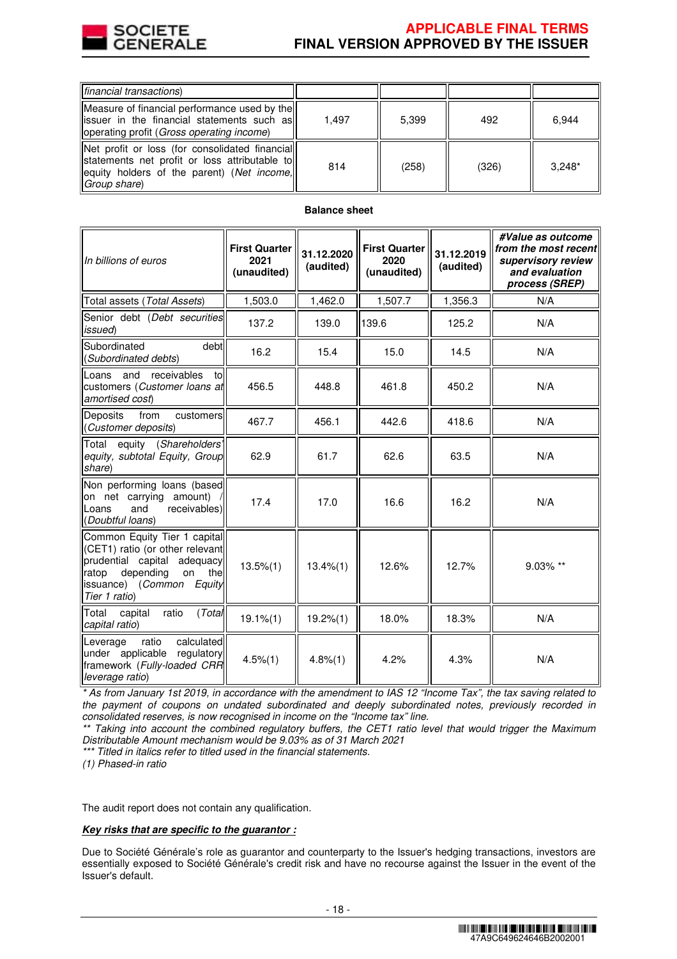

# **APPLICABLE FINAL TERMS FINAL VERSION APPROVED BY THE ISSUER**

| financial transactions                                                                                                                                         |       |       |       |          |
|----------------------------------------------------------------------------------------------------------------------------------------------------------------|-------|-------|-------|----------|
| Measure of financial performance used by the<br>lissuer in the financial statements such as<br>loperating profit (Gross operating income)                      | 1.497 | 5.399 | 492   | 6.944    |
| Net profit or loss (for consolidated financial)<br>statements net profit or loss attributable to<br>equity holders of the parent) (Net income,<br>Group share) | 814   | (258) | (326) | $3.248*$ |

# **Balance sheet**

| In billions of euros                                                                                                                                                               | <b>First Quarter</b><br>2021<br>(unaudited) | 31.12.2020<br>(audited) | <b>First Quarter</b><br>2020<br>(unaudited) | 31.12.2019<br>(audited) | #Value as outcome<br>from the most recent<br>supervisory review<br>and evaluation<br>process (SREP) |
|------------------------------------------------------------------------------------------------------------------------------------------------------------------------------------|---------------------------------------------|-------------------------|---------------------------------------------|-------------------------|-----------------------------------------------------------------------------------------------------|
| Total assets (Total Assets)                                                                                                                                                        | 1,503.0                                     | 1,462.0                 | 1,507.7                                     | 1,356.3                 | N/A                                                                                                 |
| Senior debt (Debt securities<br>issued)                                                                                                                                            | 137.2                                       | 139.0                   | 139.6                                       | 125.2                   | N/A                                                                                                 |
| debt<br>Subordinated<br>(Subordinated debts)                                                                                                                                       | 16.2                                        | 15.4                    | 15.0                                        | 14.5                    | N/A                                                                                                 |
| and<br>receivables<br>Loans<br>to<br>customers (Customer loans at<br>amortised cost)                                                                                               | 456.5                                       | 448.8                   | 461.8                                       | 450.2                   | N/A                                                                                                 |
| from<br>Deposits<br>customers<br>(Customer deposits)                                                                                                                               | 467.7                                       | 456.1                   | 442.6                                       | 418.6                   | N/A                                                                                                 |
| equity (Shareholders'<br>Total<br>equity, subtotal Equity, Group<br>share)                                                                                                         | 62.9                                        | 61.7                    | 62.6                                        | 63.5                    | N/A                                                                                                 |
| Non performing loans (based<br>on net carrying amount)<br>and<br>receivables)<br>Loans<br>(Doubtful loans)                                                                         | 17.4                                        | 17.0                    | 16.6                                        | 16.2                    | N/A                                                                                                 |
| Common Equity Tier 1 capital<br>(CET1) ratio (or other relevant<br>prudential capital adequacy<br>depending<br>on<br>thel<br>ratop<br>issuance) (Common<br>Equity<br>Tier 1 ratio) | $13.5\%(1)$                                 | $13.4\%(1)$             | 12.6%                                       | 12.7%                   | 9.03% **                                                                                            |
| (Total<br>Total<br>capital<br>ratio<br>capital ratio)                                                                                                                              | $19.1\%$ $(1)$                              | $19.2\%(1)$             | 18.0%                                       | 18.3%                   | N/A                                                                                                 |
| calculated<br>Leverage<br>ratio<br>under applicable regulatory<br>framework (Fully-loaded CRR<br>leverage ratio)                                                                   | $4.5\%(1)$                                  | 4.8%(1)                 | 4.2%                                        | 4.3%                    | N/A                                                                                                 |

\* As from January 1st 2019, in accordance with the amendment to IAS 12 "Income Tax", the tax saving related to the payment of coupons on undated subordinated and deeply subordinated notes, previously recorded in consolidated reserves, is now recognised in income on the "Income tax" line.

\*\* Taking into account the combined regulatory buffers, the CET1 ratio level that would trigger the Maximum Distributable Amount mechanism would be 9.03% as of 31 March 2021

\*\*\* Titled in italics refer to titled used in the financial statements.

(1) Phased-in ratio

The audit report does not contain any qualification.

#### **Key risks that are specific to the guarantor :**

Due to Société Générale's role as guarantor and counterparty to the Issuer's hedging transactions, investors are essentially exposed to Société Générale's credit risk and have no recourse against the Issuer in the event of the Issuer's default.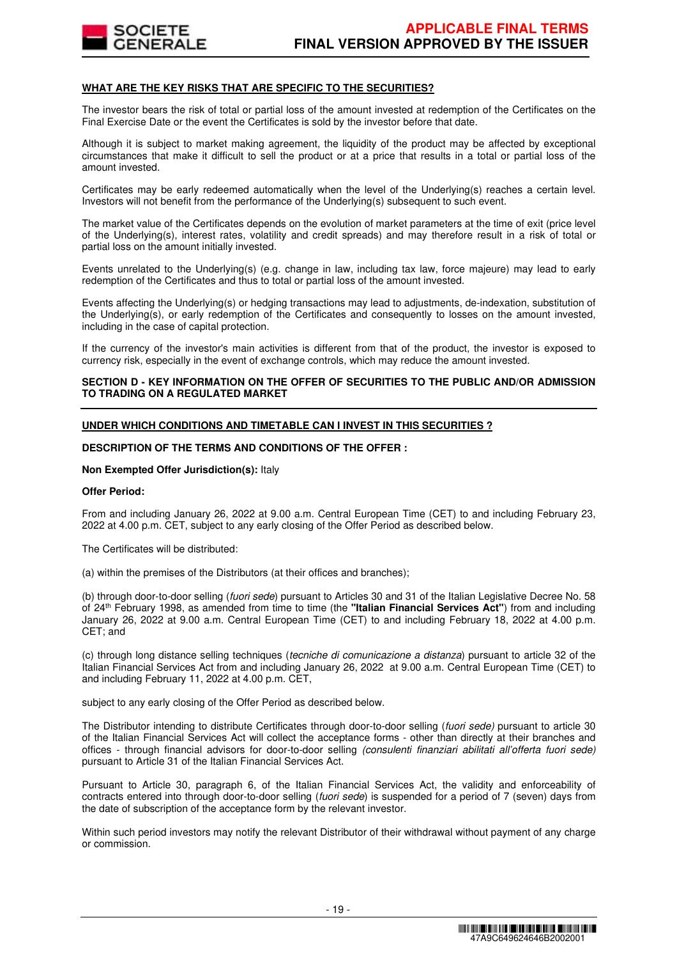

# **WHAT ARE THE KEY RISKS THAT ARE SPECIFIC TO THE SECURITIES?**

The investor bears the risk of total or partial loss of the amount invested at redemption of the Certificates on the Final Exercise Date or the event the Certificates is sold by the investor before that date.

Although it is subject to market making agreement, the liquidity of the product may be affected by exceptional circumstances that make it difficult to sell the product or at a price that results in a total or partial loss of the amount invested.

Certificates may be early redeemed automatically when the level of the Underlying(s) reaches a certain level. Investors will not benefit from the performance of the Underlying(s) subsequent to such event.

The market value of the Certificates depends on the evolution of market parameters at the time of exit (price level of the Underlying(s), interest rates, volatility and credit spreads) and may therefore result in a risk of total or partial loss on the amount initially invested.

Events unrelated to the Underlying(s) (e.g. change in law, including tax law, force majeure) may lead to early redemption of the Certificates and thus to total or partial loss of the amount invested.

Events affecting the Underlying(s) or hedging transactions may lead to adjustments, de-indexation, substitution of the Underlying(s), or early redemption of the Certificates and consequently to losses on the amount invested, including in the case of capital protection.

If the currency of the investor's main activities is different from that of the product, the investor is exposed to currency risk, especially in the event of exchange controls, which may reduce the amount invested.

# **SECTION D - KEY INFORMATION ON THE OFFER OF SECURITIES TO THE PUBLIC AND/OR ADMISSION TO TRADING ON A REGULATED MARKET**

# **UNDER WHICH CONDITIONS AND TIMETABLE CAN I INVEST IN THIS SECURITIES ?**

# **DESCRIPTION OF THE TERMS AND CONDITIONS OF THE OFFER :**

#### **Non Exempted Offer Jurisdiction(s):** Italy

#### **Offer Period:**

From and including January 26, 2022 at 9.00 a.m. Central European Time (CET) to and including February 23, 2022 at 4.00 p.m. CET, subject to any early closing of the Offer Period as described below.

The Certificates will be distributed:

(a) within the premises of the Distributors (at their offices and branches);

(b) through door-to-door selling (fuori sede) pursuant to Articles 30 and 31 of the Italian Legislative Decree No. 58 of 24th February 1998, as amended from time to time (the **"Italian Financial Services Act"**) from and including January 26, 2022 at 9.00 a.m. Central European Time (CET) to and including February 18, 2022 at 4.00 p.m. CET; and

(c) through long distance selling techniques (tecniche di comunicazione a distanza) pursuant to article 32 of the Italian Financial Services Act from and including January 26, 2022 at 9.00 a.m. Central European Time (CET) to and including February 11, 2022 at 4.00 p.m. CET,

subject to any early closing of the Offer Period as described below.

The Distributor intending to distribute Certificates through door-to-door selling (fuori sede) pursuant to article 30 of the Italian Financial Services Act will collect the acceptance forms - other than directly at their branches and offices - through financial advisors for door-to-door selling (consulenti finanziari abilitati all'offerta fuori sede) pursuant to Article 31 of the Italian Financial Services Act.

Pursuant to Article 30, paragraph 6, of the Italian Financial Services Act, the validity and enforceability of contracts entered into through door-to-door selling (fuori sede) is suspended for a period of 7 (seven) days from the date of subscription of the acceptance form by the relevant investor.

Within such period investors may notify the relevant Distributor of their withdrawal without payment of any charge or commission.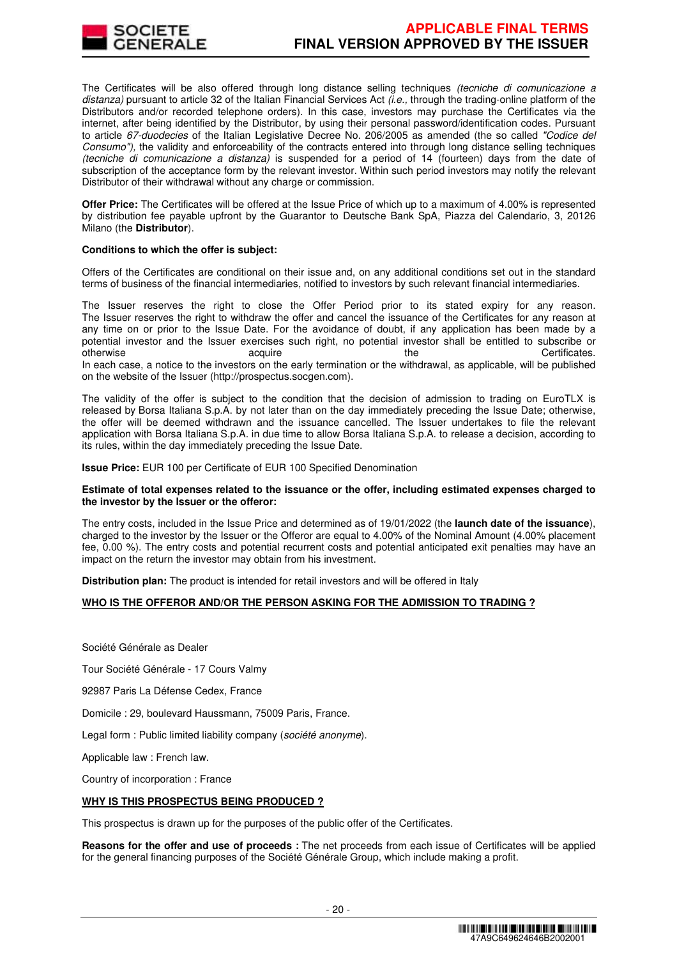

The Certificates will be also offered through long distance selling techniques (tecniche di comunicazione a distanza) pursuant to article 32 of the Italian Financial Services Act  $\ddot{\mu}e$ , through the trading-online platform of the Distributors and/or recorded telephone orders). In this case, investors may purchase the Certificates via the internet, after being identified by the Distributor, by using their personal password/identification codes. Pursuant to article 67-duodecies of the Italian Legislative Decree No. 206/2005 as amended (the so called "Codice del Consumo"), the validity and enforceability of the contracts entered into through long distance selling techniques (tecniche di comunicazione a distanza) is suspended for a period of 14 (fourteen) days from the date of subscription of the acceptance form by the relevant investor. Within such period investors may notify the relevant Distributor of their withdrawal without any charge or commission.

**Offer Price:** The Certificates will be offered at the Issue Price of which up to a maximum of 4.00% is represented by distribution fee payable upfront by the Guarantor to Deutsche Bank SpA, Piazza del Calendario, 3, 20126 Milano (the **Distributor**).

#### **Conditions to which the offer is subject:**

Offers of the Certificates are conditional on their issue and, on any additional conditions set out in the standard terms of business of the financial intermediaries, notified to investors by such relevant financial intermediaries.

The Issuer reserves the right to close the Offer Period prior to its stated expiry for any reason. The Issuer reserves the right to withdraw the offer and cancel the issuance of the Certificates for any reason at any time on or prior to the Issue Date. For the avoidance of doubt, if any application has been made by a potential investor and the Issuer exercises such right, no potential investor shall be entitled to subscribe or otherwise acquire acquire the the Certificates. In each case, a notice to the investors on the early termination or the withdrawal, as applicable, will be published on the website of the Issuer (http://prospectus.socgen.com).

The validity of the offer is subject to the condition that the decision of admission to trading on EuroTLX is released by Borsa Italiana S.p.A. by not later than on the day immediately preceding the Issue Date; otherwise, the offer will be deemed withdrawn and the issuance cancelled. The Issuer undertakes to file the relevant application with Borsa Italiana S.p.A. in due time to allow Borsa Italiana S.p.A. to release a decision, according to its rules, within the day immediately preceding the Issue Date.

**Issue Price:** EUR 100 per Certificate of EUR 100 Specified Denomination

# **Estimate of total expenses related to the issuance or the offer, including estimated expenses charged to the investor by the Issuer or the offeror:**

The entry costs, included in the Issue Price and determined as of 19/01/2022 (the **launch date of the issuance**), charged to the investor by the Issuer or the Offeror are equal to 4.00% of the Nominal Amount (4.00% placement fee, 0.00 %). The entry costs and potential recurrent costs and potential anticipated exit penalties may have an impact on the return the investor may obtain from his investment.

**Distribution plan:** The product is intended for retail investors and will be offered in Italy

# **WHO IS THE OFFEROR AND/OR THE PERSON ASKING FOR THE ADMISSION TO TRADING ?**

Société Générale as Dealer

Tour Société Générale - 17 Cours Valmy

92987 Paris La Défense Cedex, France

Domicile : 29, boulevard Haussmann, 75009 Paris, France.

Legal form : Public limited liability company (société anonyme).

Applicable law : French law.

Country of incorporation : France

# **WHY IS THIS PROSPECTUS BEING PRODUCED ?**

This prospectus is drawn up for the purposes of the public offer of the Certificates.

**Reasons for the offer and use of proceeds :** The net proceeds from each issue of Certificates will be applied for the general financing purposes of the Société Générale Group, which include making a profit.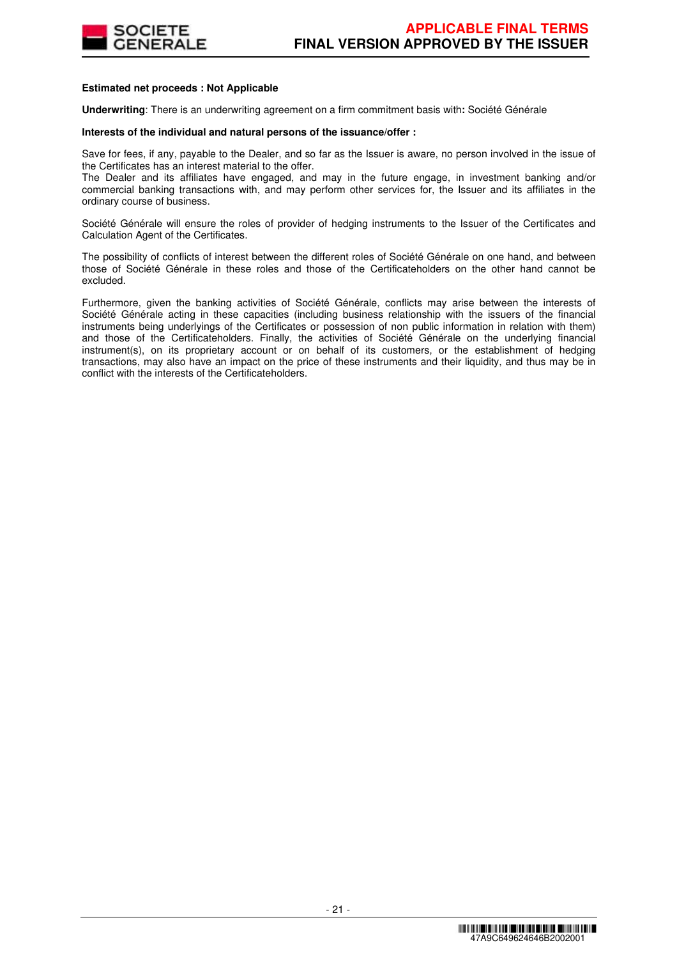

# **Estimated net proceeds : Not Applicable**

**Underwriting**: There is an underwriting agreement on a firm commitment basis with**:** Société Générale

# **Interests of the individual and natural persons of the issuance/offer :**

Save for fees, if any, payable to the Dealer, and so far as the Issuer is aware, no person involved in the issue of the Certificates has an interest material to the offer.

The Dealer and its affiliates have engaged, and may in the future engage, in investment banking and/or commercial banking transactions with, and may perform other services for, the Issuer and its affiliates in the ordinary course of business.

Société Générale will ensure the roles of provider of hedging instruments to the Issuer of the Certificates and Calculation Agent of the Certificates.

The possibility of conflicts of interest between the different roles of Société Générale on one hand, and between those of Société Générale in these roles and those of the Certificateholders on the other hand cannot be excluded.

Furthermore, given the banking activities of Société Générale, conflicts may arise between the interests of Société Générale acting in these capacities (including business relationship with the issuers of the financial instruments being underlyings of the Certificates or possession of non public information in relation with them) and those of the Certificateholders. Finally, the activities of Société Générale on the underlying financial instrument(s), on its proprietary account or on behalf of its customers, or the establishment of hedging transactions, may also have an impact on the price of these instruments and their liquidity, and thus may be in conflict with the interests of the Certificateholders.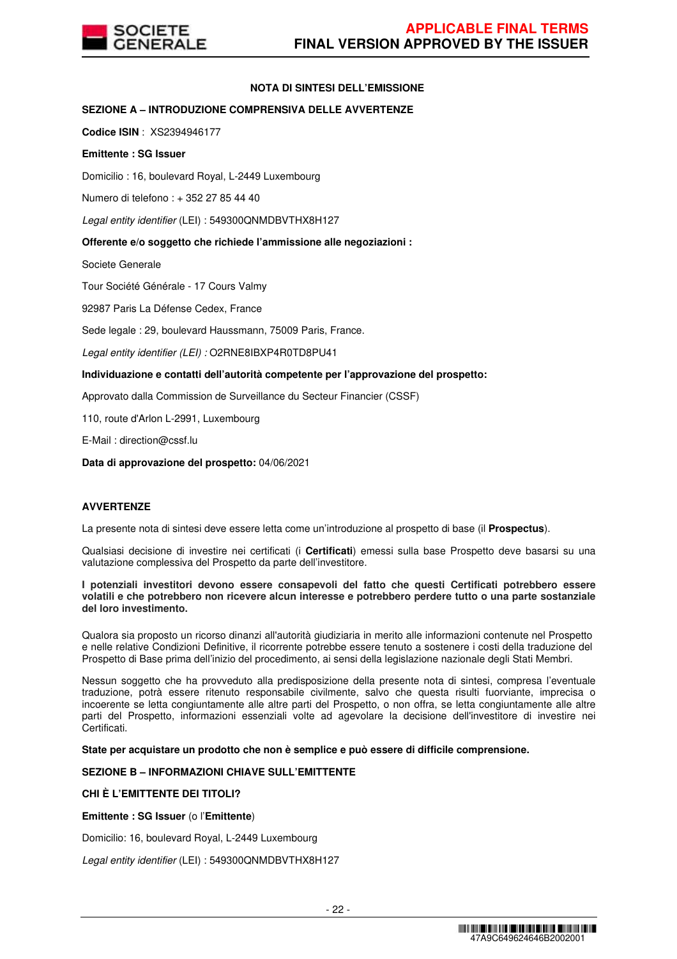

# **NOTA DI SINTESI DELL'EMISSIONE**

# **SEZIONE A – INTRODUZIONE COMPRENSIVA DELLE AVVERTENZE**

**Codice ISIN** : XS2394946177

## **Emittente : SG Issuer**

Domicilio : 16, boulevard Royal, L-2449 Luxembourg

Numero di telefono : + 352 27 85 44 40

Legal entity identifier (LEI) : 549300QNMDBVTHX8H127

# **Offerente e/o soggetto che richiede l'ammissione alle negoziazioni :**

Societe Generale

Tour Société Générale - 17 Cours Valmy

92987 Paris La Défense Cedex, France

Sede legale : 29, boulevard Haussmann, 75009 Paris, France.

Legal entity identifier (LEI) : O2RNE8IBXP4R0TD8PU41

# **Individuazione e contatti dell'autorità competente per l'approvazione del prospetto:**

Approvato dalla Commission de Surveillance du Secteur Financier (CSSF)

110, route d'Arlon L-2991, Luxembourg

E-Mail : direction@cssf.lu

**Data di approvazione del prospetto:** 04/06/2021

# **AVVERTENZE**

La presente nota di sintesi deve essere letta come un'introduzione al prospetto di base (il **Prospectus**).

Qualsiasi decisione di investire nei certificati (i **Certificati**) emessi sulla base Prospetto deve basarsi su una valutazione complessiva del Prospetto da parte dell'investitore.

#### **I potenziali investitori devono essere consapevoli del fatto che questi Certificati potrebbero essere volatili e che potrebbero non ricevere alcun interesse e potrebbero perdere tutto o una parte sostanziale del loro investimento.**

Qualora sia proposto un ricorso dinanzi all'autorità giudiziaria in merito alle informazioni contenute nel Prospetto e nelle relative Condizioni Definitive, il ricorrente potrebbe essere tenuto a sostenere i costi della traduzione del Prospetto di Base prima dell'inizio del procedimento, ai sensi della legislazione nazionale degli Stati Membri.

Nessun soggetto che ha provveduto alla predisposizione della presente nota di sintesi, compresa l'eventuale traduzione, potrà essere ritenuto responsabile civilmente, salvo che questa risulti fuorviante, imprecisa o incoerente se letta congiuntamente alle altre parti del Prospetto, o non offra, se letta congiuntamente alle altre parti del Prospetto, informazioni essenziali volte ad agevolare la decisione dell'investitore di investire nei Certificati.

**State per acquistare un prodotto che non è semplice e può essere di difficile comprensione.**

# **SEZIONE B – INFORMAZIONI CHIAVE SULL'EMITTENTE**

# **CHI È L'EMITTENTE DEI TITOLI?**

**Emittente : SG Issuer** (o l'**Emittente**)

Domicilio: 16, boulevard Royal, L-2449 Luxembourg

Legal entity identifier (LEI) : 549300QNMDBVTHX8H127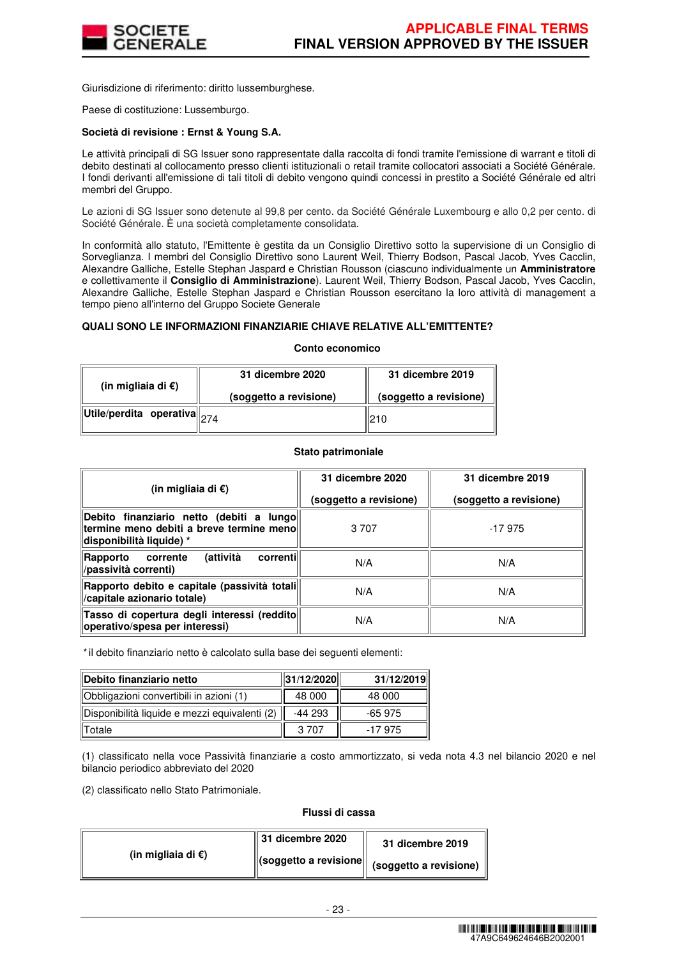

Giurisdizione di riferimento: diritto lussemburghese.

Paese di costituzione: Lussemburgo.

## **Società di revisione : Ernst & Young S.A.**

Le attività principali di SG Issuer sono rappresentate dalla raccolta di fondi tramite l'emissione di warrant e titoli di debito destinati al collocamento presso clienti istituzionali o retail tramite collocatori associati a Société Générale. I fondi derivanti all'emissione di tali titoli di debito vengono quindi concessi in prestito a Société Générale ed altri membri del Gruppo.

Le azioni di SG Issuer sono detenute al 99,8 per cento. da Société Générale Luxembourg e allo 0,2 per cento. di Société Générale. È una società completamente consolidata.

In conformità allo statuto, l'Emittente è gestita da un Consiglio Direttivo sotto la supervisione di un Consiglio di Sorveglianza. I membri del Consiglio Direttivo sono Laurent Weil, Thierry Bodson, Pascal Jacob, Yves Cacclin, Alexandre Galliche, Estelle Stephan Jaspard e Christian Rousson (ciascuno individualmente un **Amministratore**  e collettivamente il **Consiglio di Amministrazione**). Laurent Weil, Thierry Bodson, Pascal Jacob, Yves Cacclin, Alexandre Galliche, Estelle Stephan Jaspard e Christian Rousson esercitano la loro attività di management a tempo pieno all'interno del Gruppo Societe Generale

# **QUALI SONO LE INFORMAZIONI FINANZIARIE CHIAVE RELATIVE ALL'EMITTENTE?**

#### **Conto economico**

| (in migliaia di $\epsilon$ )                                                                       | 31 dicembre 2020       | 31 dicembre 2019       |  |
|----------------------------------------------------------------------------------------------------|------------------------|------------------------|--|
|                                                                                                    | (soggetto a revisione) | (soggetto a revisione) |  |
| $\left\Vert \mathsf{Utile}/\mathsf{perdita} \right\Vert$ operativa $\left\Vert _{274} \right\Vert$ |                        | 210                    |  |

#### **Stato patrimoniale**

| (in migliaia di €)                                                                                                | 31 dicembre 2020<br>(soggetto a revisione) | 31 dicembre 2019<br>(soggetto a revisione) |  |
|-------------------------------------------------------------------------------------------------------------------|--------------------------------------------|--------------------------------------------|--|
| Debito finanziario netto (debiti a lungo<br>termine meno debiti a breve termine menol<br>disponibilità liquide) * | 3 7 0 7                                    | $-17975$                                   |  |
| (attività<br>correntil<br>corrente<br>Rapporto<br>/passività correnti)                                            | N/A                                        | N/A                                        |  |
| Rapporto debito e capitale (passività totali<br>/capitale azionario totale)                                       | N/A                                        | N/A                                        |  |
| Tasso di copertura degli interessi (reddito<br>operativo/spesa per interessi)                                     | N/A                                        | N/A                                        |  |

\* il debito finanziario netto è calcolato sulla base dei seguenti elementi:

| Debito finanziario netto                      | 31/12/2020 | 31/12/2019 |  |
|-----------------------------------------------|------------|------------|--|
| Obbligazioni convertibili in azioni (1)       | 48 000     | 48 000     |  |
| Disponibilità liquide e mezzi equivalenti (2) | -44 293    | $-65975$   |  |
| Totale                                        | 3.707      | -17 975    |  |

(1) classificato nella voce Passività finanziarie a costo ammortizzato, si veda nota 4.3 nel bilancio 2020 e nel bilancio periodico abbreviato del 2020

(2) classificato nello Stato Patrimoniale.

## **Flussi di cassa**

|                              | $\parallel$ 31 dicembre 2020 | 31 dicembre 2019                                                                  |
|------------------------------|------------------------------|-----------------------------------------------------------------------------------|
| (in migliaia di $\epsilon$ ) |                              | $\left\  \text{(soggetto a revisione} \right\  \text{ (soggetto a revisione) }$ " |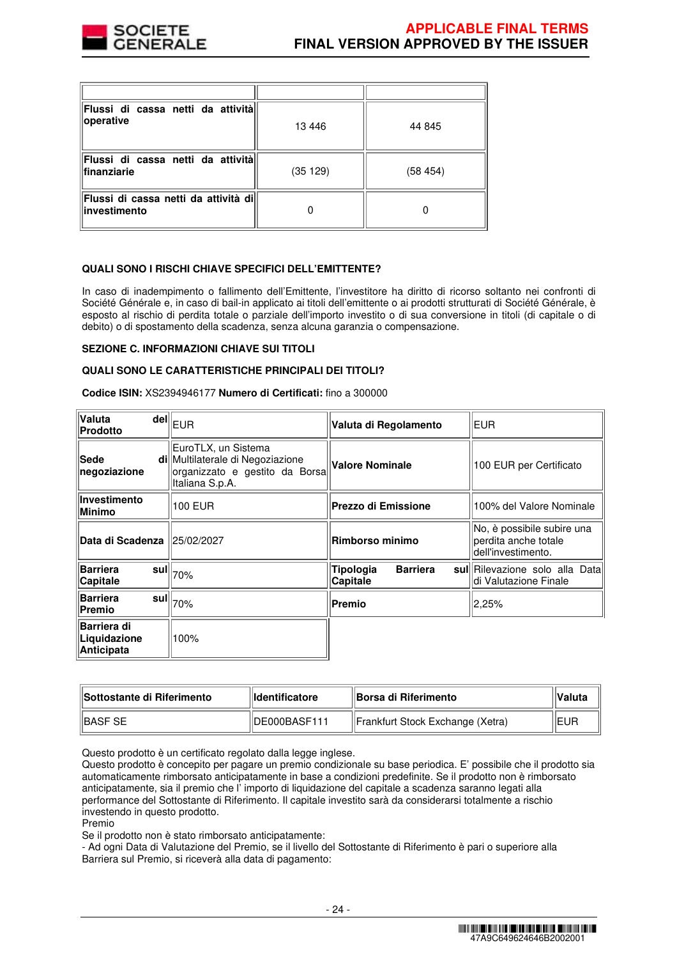

| Flussi di cassa netti da attività<br>operative         | 13446   | 44 845  |
|--------------------------------------------------------|---------|---------|
| Flussi di cassa netti da attivitàl<br>finanziarie      | (35129) | (58454) |
| Flussi di cassa netti da attività dill<br>investimento |         |         |

# **QUALI SONO I RISCHI CHIAVE SPECIFICI DELL'EMITTENTE?**

In caso di inadempimento o fallimento dell'Emittente, l'investitore ha diritto di ricorso soltanto nei confronti di Société Générale e, in caso di bail-in applicato ai titoli dell'emittente o ai prodotti strutturati di Société Générale, è esposto al rischio di perdita totale o parziale dell'importo investito o di sua conversione in titoli (di capitale o di debito) o di spostamento della scadenza, senza alcuna garanzia o compensazione.

#### **SEZIONE C. INFORMAZIONI CHIAVE SUI TITOLI**

#### **QUALI SONO LE CARATTERISTICHE PRINCIPALI DEI TITOLI?**

**Codice ISIN:** XS2394946177 **Numero di Certificati:** fino a 300000

| Valuta<br>Prodotto                               | $\overline{\mathsf{del}}\Vert_{\mathsf{EUR}}$                                                                | Valuta di Regolamento                    | EUR                                                                      |  |
|--------------------------------------------------|--------------------------------------------------------------------------------------------------------------|------------------------------------------|--------------------------------------------------------------------------|--|
| Sede<br>negoziazione                             | EuroTLX, un Sistema<br>di Multilaterale di Negoziazione<br>organizzato e gestito da Borsa<br>Italiana S.p.A. | <b>Valore Nominale</b>                   | 100 EUR per Certificato                                                  |  |
| Investimento<br><b>Minimo</b>                    | 100 EUR                                                                                                      | <b>Prezzo di Emissione</b>               | 100% del Valore Nominale                                                 |  |
| Data di Scadenza  25/02/2027                     |                                                                                                              | Rimborso minimo                          | No, è possibile subire una<br>perdita anche totale<br>dell'investimento. |  |
| <b>Barriera</b><br>sul∥<br>Capitale              | 70%                                                                                                          | Tipologia<br><b>Barriera</b><br>Capitale | sul Rilevazione solo alla Data<br>di Valutazione Finale                  |  |
| Barriera<br>Premio                               | $\bar{\bf s}$ ul $\parallel_{70\%}$                                                                          | Premio                                   | $ 2,25\%$                                                                |  |
| <b>Barriera di</b><br>Liquidazione<br>Anticipata | 100%                                                                                                         |                                          |                                                                          |  |

| <b>IlSottostante di Riferimento</b> | <b>Ildentificatore</b> | ⊞Borsa di Riferimento            | ∣Valuta |
|-------------------------------------|------------------------|----------------------------------|---------|
| <b>IBASF SE</b>                     | DE000BASF111           | Frankfurt Stock Exchange (Xetra) | IIEUP   |

Questo prodotto è un certificato regolato dalla legge inglese.

Questo prodotto è concepito per pagare un premio condizionale su base periodica. E' possibile che il prodotto sia automaticamente rimborsato anticipatamente in base a condizioni predefinite. Se il prodotto non è rimborsato anticipatamente, sia il premio che l' importo di liquidazione del capitale a scadenza saranno legati alla performance del Sottostante di Riferimento. Il capitale investito sarà da considerarsi totalmente a rischio investendo in questo prodotto.

Premio

Se il prodotto non è stato rimborsato anticipatamente:

- Ad ogni Data di Valutazione del Premio, se il livello del Sottostante di Riferimento è pari o superiore alla Barriera sul Premio, si riceverà alla data di pagamento: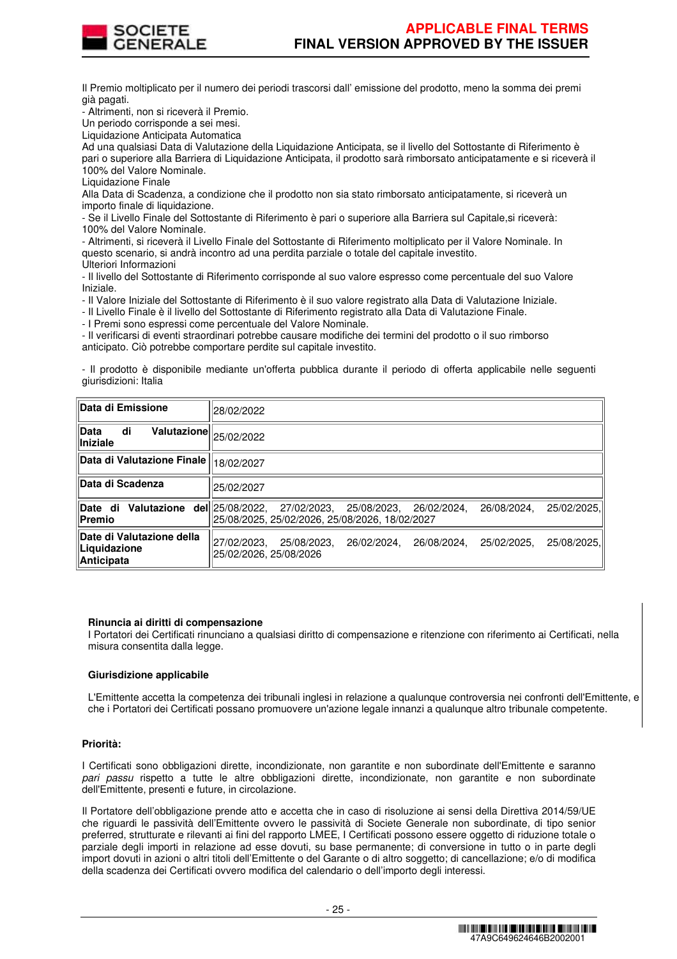

Il Premio moltiplicato per il numero dei periodi trascorsi dall' emissione del prodotto, meno la somma dei premi già pagati.

- Altrimenti, non si riceverà il Premio.

Un periodo corrisponde a sei mesi.

Liquidazione Anticipata Automatica

Ad una qualsiasi Data di Valutazione della Liquidazione Anticipata, se il livello del Sottostante di Riferimento è pari o superiore alla Barriera di Liquidazione Anticipata, il prodotto sarà rimborsato anticipatamente e si riceverà il 100% del Valore Nominale.

Liquidazione Finale

Alla Data di Scadenza, a condizione che il prodotto non sia stato rimborsato anticipatamente, si riceverà un importo finale di liquidazione.

- Se il Livello Finale del Sottostante di Riferimento è pari o superiore alla Barriera sul Capitale,si riceverà: 100% del Valore Nominale.

- Altrimenti, si riceverà il Livello Finale del Sottostante di Riferimento moltiplicato per il Valore Nominale. In questo scenario, si andrà incontro ad una perdita parziale o totale del capitale investito. Ulteriori Informazioni

- Il livello del Sottostante di Riferimento corrisponde al suo valore espresso come percentuale del suo Valore Iniziale.

- Il Valore Iniziale del Sottostante di Riferimento è il suo valore registrato alla Data di Valutazione Iniziale.

- Il Livello Finale è il livello del Sottostante di Riferimento registrato alla Data di Valutazione Finale.

- I Premi sono espressi come percentuale del Valore Nominale.

- Il verificarsi di eventi straordinari potrebbe causare modifiche dei termini del prodotto o il suo rimborso anticipato. Ciò potrebbe comportare perdite sul capitale investito.

- Il prodotto è disponibile mediante un'offerta pubblica durante il periodo di offerta applicabile nelle seguenti giurisdizioni: Italia

| Data di Emissione                                                         | 28/02/2022                                                                                                                 |
|---------------------------------------------------------------------------|----------------------------------------------------------------------------------------------------------------------------|
| di<br>∣Data<br>$\overline{\text{Valutazione}}\ _{25/02/2022}$<br>Iniziale |                                                                                                                            |
| Data di Valutazione Finale                                                | 18/02/2027                                                                                                                 |
| <b>Data di Scadenza</b>                                                   | 25/02/2027                                                                                                                 |
| <b>Valutazione del 25/08/2022,</b><br>Date di<br>Premio                   | 25/02/2025,<br>27/02/2023.<br>26/02/2024.<br>26/08/2024,<br>25/08/2023.<br> 25/08/2025, 25/02/2026, 25/08/2026, 18/02/2027 |
| Date di Valutazione della<br>Liquidazione<br>Anticipata                   | 27/02/2023.<br>25/08/2023.<br>26/02/2024.<br>26/08/2024.<br>25/08/2025.<br>25/02/2025.<br>25/02/2026, 25/08/2026           |

#### **Rinuncia ai diritti di compensazione**

I Portatori dei Certificati rinunciano a qualsiasi diritto di compensazione e ritenzione con riferimento ai Certificati, nella misura consentita dalla legge.

#### **Giurisdizione applicabile**

L'Emittente accetta la competenza dei tribunali inglesi in relazione a qualunque controversia nei confronti dell'Emittente, e che i Portatori dei Certificati possano promuovere un'azione legale innanzi a qualunque altro tribunale competente.

#### **Priorità:**

I Certificati sono obbligazioni dirette, incondizionate, non garantite e non subordinate dell'Emittente e saranno pari passu rispetto a tutte le altre obbligazioni dirette, incondizionate, non garantite e non subordinate dell'Emittente, presenti e future, in circolazione.

Il Portatore dell'obbligazione prende atto e accetta che in caso di risoluzione ai sensi della Direttiva 2014/59/UE che riguardi le passività dell'Emittente ovvero le passività di Societe Generale non subordinate, di tipo senior preferred, strutturate e rilevanti ai fini del rapporto LMEE, I Certificati possono essere oggetto di riduzione totale o parziale degli importi in relazione ad esse dovuti, su base permanente; di conversione in tutto o in parte degli import dovuti in azioni o altri titoli dell'Emittente o del Garante o di altro soggetto; di cancellazione; e/o di modifica della scadenza dei Certificati ovvero modifica del calendario o dell'importo degli interessi.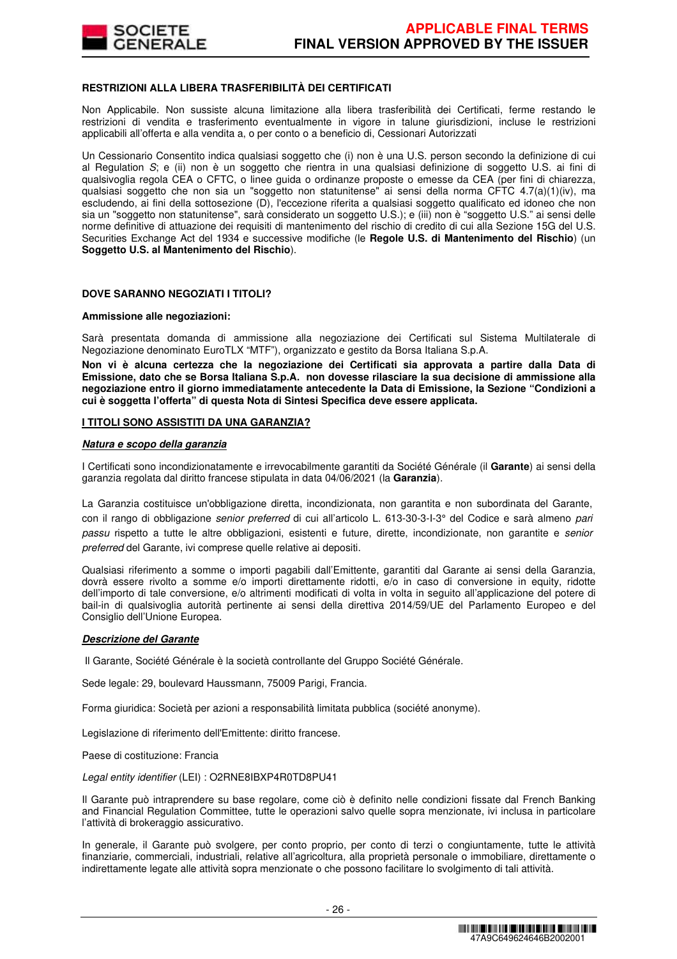

### **RESTRIZIONI ALLA LIBERA TRASFERIBILITÀ DEI CERTIFICATI**

Non Applicabile. Non sussiste alcuna limitazione alla libera trasferibilità dei Certificati, ferme restando le restrizioni di vendita e trasferimento eventualmente in vigore in talune giurisdizioni, incluse le restrizioni applicabili all'offerta e alla vendita a, o per conto o a beneficio di, Cessionari Autorizzati

Un Cessionario Consentito indica qualsiasi soggetto che (i) non è una U.S. person secondo la definizione di cui al Regulation S; e (ii) non è un soggetto che rientra in una qualsiasi definizione di soggetto U.S. ai fini di qualsivoglia regola CEA o CFTC, o linee guida o ordinanze proposte o emesse da CEA (per fini di chiarezza, qualsiasi soggetto che non sia un "soggetto non statunitense" ai sensi della norma CFTC 4.7(a)(1)(iv), ma escludendo, ai fini della sottosezione (D), l'eccezione riferita a qualsiasi soggetto qualificato ed idoneo che non sia un "soggetto non statunitense", sarà considerato un soggetto U.S.); e (iii) non è "soggetto U.S." ai sensi delle norme definitive di attuazione dei requisiti di mantenimento del rischio di credito di cui alla Sezione 15G del U.S. Securities Exchange Act del 1934 e successive modifiche (le **Regole U.S. di Mantenimento del Rischio**) (un **Soggetto U.S. al Mantenimento del Rischio**).

## **DOVE SARANNO NEGOZIATI I TITOLI?**

#### **Ammissione alle negoziazioni:**

Sarà presentata domanda di ammissione alla negoziazione dei Certificati sul Sistema Multilaterale di Negoziazione denominato EuroTLX "MTF"), organizzato e gestito da Borsa Italiana S.p.A.

**Non vi è alcuna certezza che la negoziazione dei Certificati sia approvata a partire dalla Data di Emissione, dato che se Borsa Italiana S.p.A. non dovesse rilasciare la sua decisione di ammissione alla negoziazione entro il giorno immediatamente antecedente la Data di Emissione, la Sezione "Condizioni a cui è soggetta l'offerta" di questa Nota di Sintesi Specifica deve essere applicata.** 

#### **I TITOLI SONO ASSISTITI DA UNA GARANZIA?**

#### **Natura e scopo della garanzia**

I Certificati sono incondizionatamente e irrevocabilmente garantiti da Société Générale (il **Garante**) ai sensi della garanzia regolata dal diritto francese stipulata in data 04/06/2021 (la **Garanzia**).

La Garanzia costituisce un'obbligazione diretta, incondizionata, non garantita e non subordinata del Garante, con il rango di obbligazione senior preferred di cui all'articolo L. 613-30-3-I-3° del Codice e sarà almeno pari passu rispetto a tutte le altre obbligazioni, esistenti e future, dirette, incondizionate, non garantite e senior preferred del Garante, ivi comprese quelle relative ai depositi.

Qualsiasi riferimento a somme o importi pagabili dall'Emittente, garantiti dal Garante ai sensi della Garanzia, dovrà essere rivolto a somme e/o importi direttamente ridotti, e/o in caso di conversione in equity, ridotte dell'importo di tale conversione, e/o altrimenti modificati di volta in volta in seguito all'applicazione del potere di bail-in di qualsivoglia autorità pertinente ai sensi della direttiva 2014/59/UE del Parlamento Europeo e del Consiglio dell'Unione Europea.

#### **Descrizione del Garante**

Il Garante, Société Générale è la società controllante del Gruppo Société Générale.

Sede legale: 29, boulevard Haussmann, 75009 Parigi, Francia.

Forma giuridica: Società per azioni a responsabilità limitata pubblica (société anonyme).

Legislazione di riferimento dell'Emittente: diritto francese.

Paese di costituzione: Francia

Legal entity identifier (LEI) : O2RNE8IBXP4R0TD8PU41

Il Garante può intraprendere su base regolare, come ciò è definito nelle condizioni fissate dal French Banking and Financial Regulation Committee, tutte le operazioni salvo quelle sopra menzionate, ivi inclusa in particolare l'attività di brokeraggio assicurativo.

In generale, il Garante può svolgere, per conto proprio, per conto di terzi o congiuntamente, tutte le attività finanziarie, commerciali, industriali, relative all'agricoltura, alla proprietà personale o immobiliare, direttamente o indirettamente legate alle attività sopra menzionate o che possono facilitare lo svolgimento di tali attività.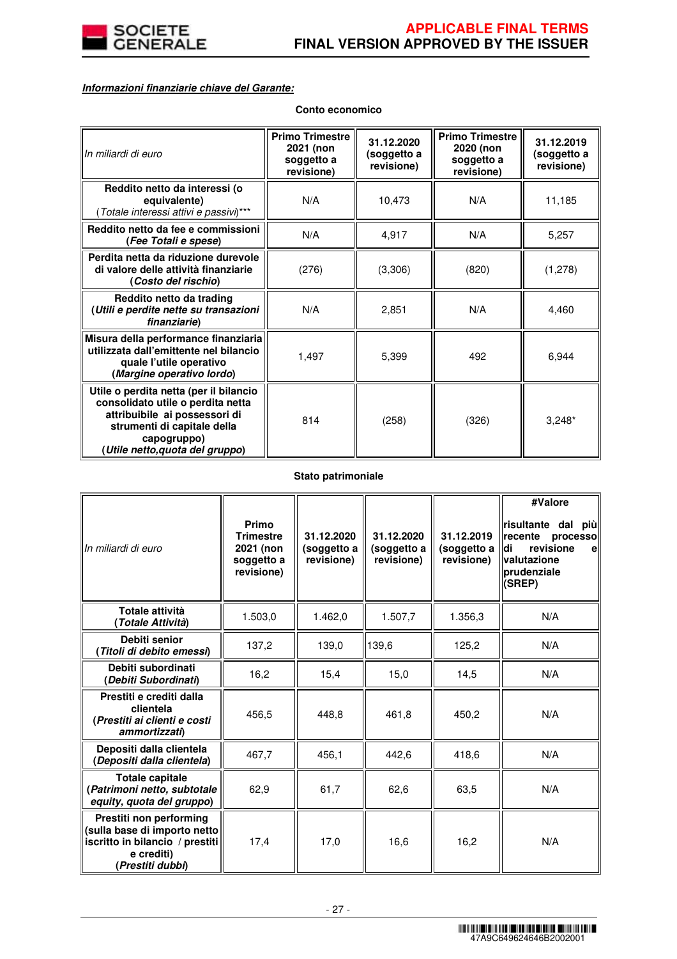

# **Informazioni finanziarie chiave del Garante:**

| In miliardi di euro                                                                                                                                                                           | <b>Primo Trimestre</b><br>2021 (non<br>soggetto a<br>revisione) | 31.12.2020<br>(soggetto a<br>revisione) | <b>Primo Trimestre</b><br>2020 (non<br>soggetto a<br>revisione) | 31.12.2019<br>(soggetto a<br>revisione) |
|-----------------------------------------------------------------------------------------------------------------------------------------------------------------------------------------------|-----------------------------------------------------------------|-----------------------------------------|-----------------------------------------------------------------|-----------------------------------------|
| Reddito netto da interessi (o<br>equivalente)<br>Totale interessi attivi e passivi)***                                                                                                        | N/A                                                             | 10,473                                  | N/A                                                             | 11,185                                  |
| Reddito netto da fee e commissioni<br>(Fee Totali e spese)                                                                                                                                    | N/A                                                             | 4,917                                   | N/A                                                             | 5,257                                   |
| Perdita netta da riduzione durevole<br>di valore delle attività finanziarie<br>(Costo del rischio)                                                                                            | (276)                                                           | (3,306)                                 | (820)                                                           | (1,278)                                 |
| Reddito netto da trading<br>(Utili e perdite nette su transazioni<br>finanziarie)                                                                                                             | N/A                                                             | 2,851                                   | N/A                                                             | 4,460                                   |
| Misura della performance finanziaria<br>utilizzata dall'emittente nel bilancio<br>quale l'utile operativo<br>(Margine operativo lordo)                                                        | 1,497                                                           | 5,399                                   | 492                                                             | 6,944                                   |
| Utile o perdita netta (per il bilancio<br>consolidato utile o perdita netta<br>attribuibile ai possessori di<br>strumenti di capitale della<br>capogruppo)<br>(Utile netto, quota del gruppo) | 814                                                             | (258)                                   | (326)                                                           | $3,248*$                                |

# **Stato patrimoniale**

| In miliardi di euro                                                                                                          | Primo<br><b>Trimestre</b><br>2021 (non<br>soggetto a<br>revisione) | 31.12.2020<br>(soggetto a<br>revisione) | 31.12.2020<br>(soggetto a<br>revisione) | 31.12.2019<br>(soggetto a<br>revisione) | #Valore<br>risultante dal più<br>recente<br>processo<br>revisione<br>ldi<br>e<br>valutazione<br><b>prudenziale</b><br>(SREP) |
|------------------------------------------------------------------------------------------------------------------------------|--------------------------------------------------------------------|-----------------------------------------|-----------------------------------------|-----------------------------------------|------------------------------------------------------------------------------------------------------------------------------|
| <b>Totale attività</b><br>(Totale Attività)                                                                                  | 1.503,0                                                            | 1.462,0                                 | 1.507,7                                 | 1.356,3                                 | N/A                                                                                                                          |
| Debiti senior<br>(Titoli di debito emessi)                                                                                   | 137,2                                                              | 139,0                                   | 139,6                                   | 125,2                                   | N/A                                                                                                                          |
| Debiti subordinati<br>(Debiti Subordinati)                                                                                   | 16,2                                                               | 15,4                                    | 15,0                                    | 14,5                                    | N/A                                                                                                                          |
| Prestiti e crediti dalla<br>clientela<br>(Prestiti ai clienti e costi<br>ammortizzati)                                       | 456,5                                                              | 448.8                                   | 461,8                                   | 450,2                                   | N/A                                                                                                                          |
| Depositi dalla clientela<br>(Depositi dalla clientela)                                                                       | 467,7                                                              | 456,1                                   | 442,6                                   | 418,6                                   | N/A                                                                                                                          |
| <b>Totale capitale</b><br>(Patrimoni netto, subtotale<br>equity, quota del gruppo)                                           | 62,9                                                               | 61,7                                    | 62,6                                    | 63,5                                    | N/A                                                                                                                          |
| Prestiti non performing<br>(sulla base di importo netto<br>iscritto in bilancio / prestiti<br>e crediti)<br>(Prestiti dubbi) | 17,4                                                               | 17,0                                    | 16,6                                    | 16,2                                    | N/A                                                                                                                          |

# **Conto economico**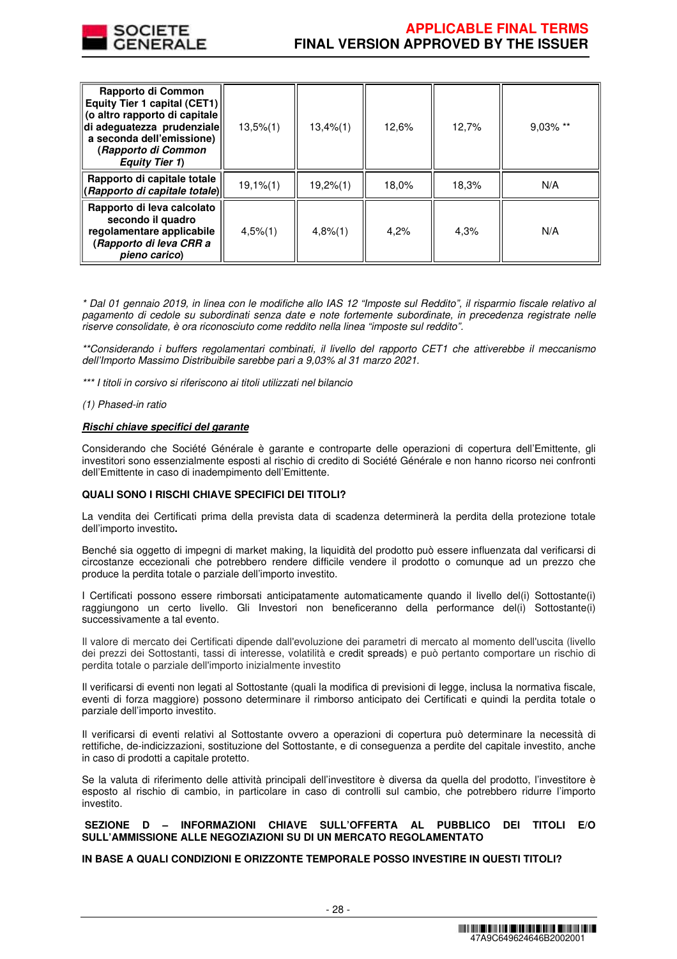

# **APPLICABLE FINAL TERMS FINAL VERSION APPROVED BY THE ISSUER**

| Rapporto di Common<br>Equity Tier 1 capital (CET1)<br>(o altro rapporto di capitale<br>di adeguatezza prudenziale<br>a seconda dell'emissione)<br>(Rapporto di Common<br><b>Equity Tier 1)</b> | $13,5\%$ $(1)$ | 13,4%(1) | 12,6% | 12,7% | $9.03\%$ ** |
|------------------------------------------------------------------------------------------------------------------------------------------------------------------------------------------------|----------------|----------|-------|-------|-------------|
| Rapporto di capitale totale<br>(Rapporto di capitale totale)                                                                                                                                   | $19,1%$ (1)    | 19,2%(1) | 18,0% | 18,3% | N/A         |
| Rapporto di leva calcolato<br>secondo il quadro<br>regolamentare applicabile<br>(Rapporto di leva CRR a<br>pieno carico)                                                                       | $4,5\%$ (1)    | 4,8%(1)  | 4.2%  | 4.3%  | N/A         |

\* Dal 01 gennaio 2019, in linea con le modifiche allo IAS 12 "Imposte sul Reddito", il risparmio fiscale relativo al pagamento di cedole su subordinati senza date e note fortemente subordinate, in precedenza registrate nelle riserve consolidate, è ora riconosciuto come reddito nella linea "imposte sul reddito".

\*\*Considerando i buffers regolamentari combinati, il livello del rapporto CET1 che attiverebbe il meccanismo dell'Importo Massimo Distribuibile sarebbe pari a 9,03% al 31 marzo 2021.

\*\*\* I titoli in corsivo si riferiscono ai titoli utilizzati nel bilancio

(1) Phased-in ratio

# **Rischi chiave specifici del garante**

Considerando che Société Générale è garante e controparte delle operazioni di copertura dell'Emittente, gli investitori sono essenzialmente esposti al rischio di credito di Société Générale e non hanno ricorso nei confronti dell'Emittente in caso di inadempimento dell'Emittente.

# **QUALI SONO I RISCHI CHIAVE SPECIFICI DEI TITOLI?**

La vendita dei Certificati prima della prevista data di scadenza determinerà la perdita della protezione totale dell'importo investito**.**

Benché sia oggetto di impegni di market making, la liquidità del prodotto può essere influenzata dal verificarsi di circostanze eccezionali che potrebbero rendere difficile vendere il prodotto o comunque ad un prezzo che produce la perdita totale o parziale dell'importo investito.

I Certificati possono essere rimborsati anticipatamente automaticamente quando il livello del(i) Sottostante(i) raggiungono un certo livello. Gli Investori non beneficeranno della performance del(i) Sottostante(i) successivamente a tal evento.

Il valore di mercato dei Certificati dipende dall'evoluzione dei parametri di mercato al momento dell'uscita (livello dei prezzi dei Sottostanti, tassi di interesse, volatilità e credit spreads) e può pertanto comportare un rischio di perdita totale o parziale dell'importo inizialmente investito

Il verificarsi di eventi non legati al Sottostante (quali la modifica di previsioni di legge, inclusa la normativa fiscale, eventi di forza maggiore) possono determinare il rimborso anticipato dei Certificati e quindi la perdita totale o parziale dell'importo investito.

Il verificarsi di eventi relativi al Sottostante ovvero a operazioni di copertura può determinare la necessità di rettifiche, de-indicizzazioni, sostituzione del Sottostante, e di conseguenza a perdite del capitale investito, anche in caso di prodotti a capitale protetto.

Se la valuta di riferimento delle attività principali dell'investitore è diversa da quella del prodotto, l'investitore è esposto al rischio di cambio, in particolare in caso di controlli sul cambio, che potrebbero ridurre l'importo investito.

# **SEZIONE D – INFORMAZIONI CHIAVE SULL'OFFERTA AL PUBBLICO DEI TITOLI E/O SULL'AMMISSIONE ALLE NEGOZIAZIONI SU DI UN MERCATO REGOLAMENTATO**

# **IN BASE A QUALI CONDIZIONI E ORIZZONTE TEMPORALE POSSO INVESTIRE IN QUESTI TITOLI?**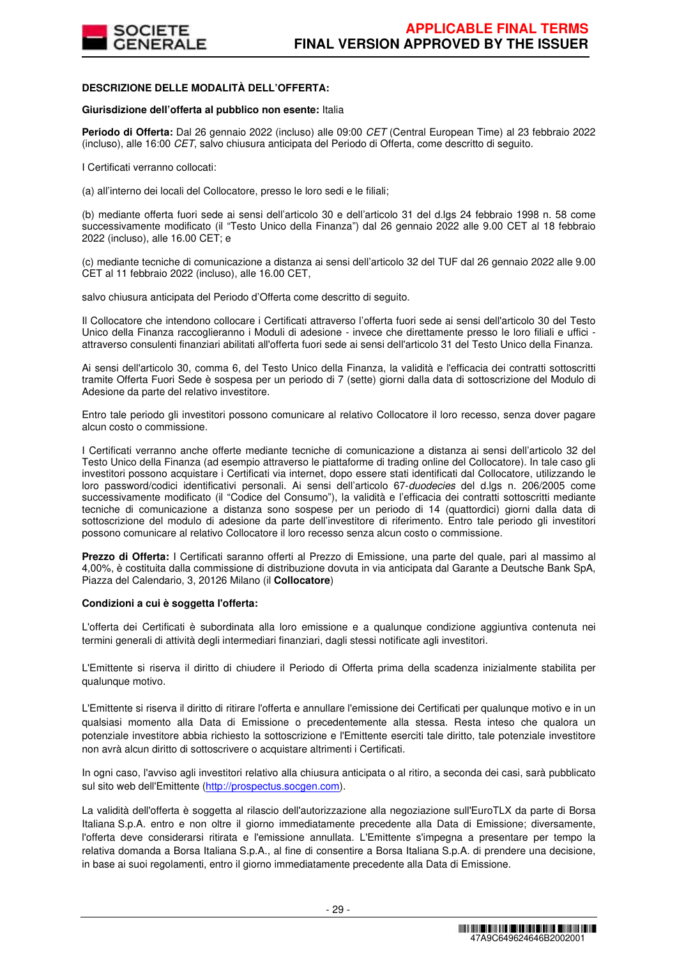

### **DESCRIZIONE DELLE MODALITÀ DELL'OFFERTA:**

#### **Giurisdizione dell'offerta al pubblico non esente:** Italia

**Periodo di Offerta:** Dal 26 gennaio 2022 (incluso) alle 09:00 CET (Central European Time) al 23 febbraio 2022 (incluso), alle 16:00 CET, salvo chiusura anticipata del Periodo di Offerta, come descritto di seguito.

I Certificati verranno collocati:

(a) all'interno dei locali del Collocatore, presso le loro sedi e le filiali;

(b) mediante offerta fuori sede ai sensi dell'articolo 30 e dell'articolo 31 del d.lgs 24 febbraio 1998 n. 58 come successivamente modificato (il "Testo Unico della Finanza") dal 26 gennaio 2022 alle 9.00 CET al 18 febbraio 2022 (incluso), alle 16.00 CET; e

(c) mediante tecniche di comunicazione a distanza ai sensi dell'articolo 32 del TUF dal 26 gennaio 2022 alle 9.00 CET al 11 febbraio 2022 (incluso), alle 16.00 CET,

salvo chiusura anticipata del Periodo d'Offerta come descritto di seguito.

Il Collocatore che intendono collocare i Certificati attraverso l'offerta fuori sede ai sensi dell'articolo 30 del Testo Unico della Finanza raccoglieranno i Moduli di adesione - invece che direttamente presso le loro filiali e uffici attraverso consulenti finanziari abilitati all'offerta fuori sede ai sensi dell'articolo 31 del Testo Unico della Finanza.

Ai sensi dell'articolo 30, comma 6, del Testo Unico della Finanza, la validità e l'efficacia dei contratti sottoscritti tramite Offerta Fuori Sede è sospesa per un periodo di 7 (sette) giorni dalla data di sottoscrizione del Modulo di Adesione da parte del relativo investitore.

Entro tale periodo gli investitori possono comunicare al relativo Collocatore il loro recesso, senza dover pagare alcun costo o commissione.

I Certificati verranno anche offerte mediante tecniche di comunicazione a distanza ai sensi dell'articolo 32 del Testo Unico della Finanza (ad esempio attraverso le piattaforme di trading online del Collocatore). In tale caso gli investitori possono acquistare i Certificati via internet, dopo essere stati identificati dal Collocatore, utilizzando le loro password/codici identificativi personali. Ai sensi dell'articolo 67-duodecies del d.lgs n. 206/2005 come successivamente modificato (il "Codice del Consumo"), la validità e l'efficacia dei contratti sottoscritti mediante tecniche di comunicazione a distanza sono sospese per un periodo di 14 (quattordici) giorni dalla data di sottoscrizione del modulo di adesione da parte dell'investitore di riferimento. Entro tale periodo gli investitori possono comunicare al relativo Collocatore il loro recesso senza alcun costo o commissione.

**Prezzo di Offerta:** I Certificati saranno offerti al Prezzo di Emissione, una parte del quale, pari al massimo al 4,00%, è costituita dalla commissione di distribuzione dovuta in via anticipata dal Garante a Deutsche Bank SpA, Piazza del Calendario, 3, 20126 Milano (il **Collocatore**)

#### **Condizioni a cui è soggetta l'offerta:**

L'offerta dei Certificati è subordinata alla loro emissione e a qualunque condizione aggiuntiva contenuta nei termini generali di attività degli intermediari finanziari, dagli stessi notificate agli investitori.

L'Emittente si riserva il diritto di chiudere il Periodo di Offerta prima della scadenza inizialmente stabilita per qualunque motivo.

L'Emittente si riserva il diritto di ritirare l'offerta e annullare l'emissione dei Certificati per qualunque motivo e in un qualsiasi momento alla Data di Emissione o precedentemente alla stessa. Resta inteso che qualora un potenziale investitore abbia richiesto la sottoscrizione e l'Emittente eserciti tale diritto, tale potenziale investitore non avrà alcun diritto di sottoscrivere o acquistare altrimenti i Certificati.

In ogni caso, l'avviso agli investitori relativo alla chiusura anticipata o al ritiro, a seconda dei casi, sarà pubblicato sul sito web dell'Emittente (http://prospectus.socgen.com).

La validità dell'offerta è soggetta al rilascio dell'autorizzazione alla negoziazione sull'EuroTLX da parte di Borsa Italiana S.p.A. entro e non oltre il giorno immediatamente precedente alla Data di Emissione; diversamente, l'offerta deve considerarsi ritirata e l'emissione annullata. L'Emittente s'impegna a presentare per tempo la relativa domanda a Borsa Italiana S.p.A., al fine di consentire a Borsa Italiana S.p.A. di prendere una decisione, in base ai suoi regolamenti, entro il giorno immediatamente precedente alla Data di Emissione.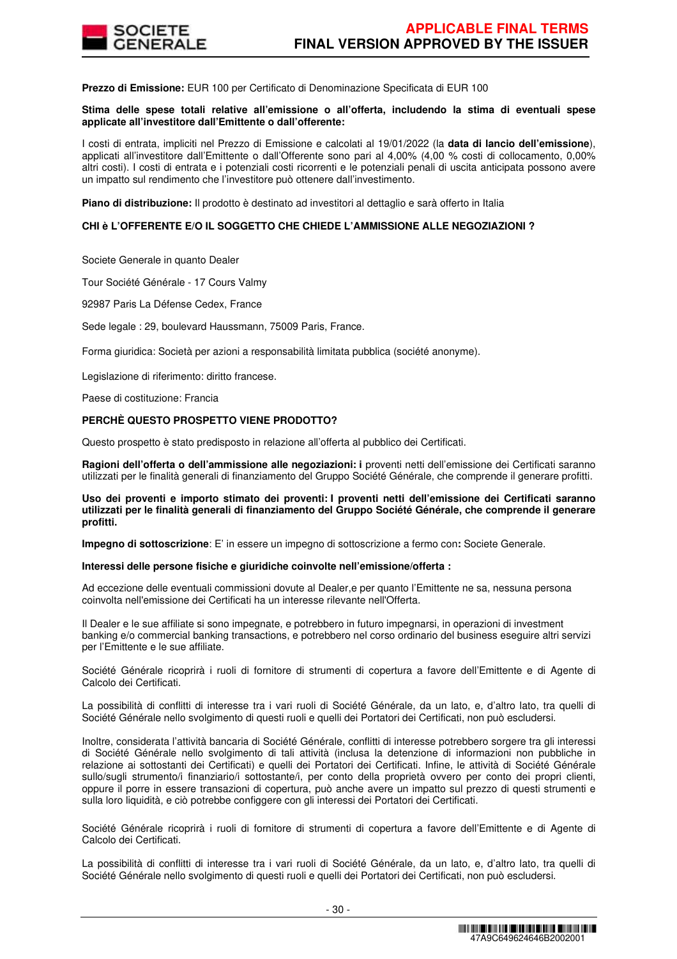

**Prezzo di Emissione:** EUR 100 per Certificato di Denominazione Specificata di EUR 100

#### **Stima delle spese totali relative all'emissione o all'offerta, includendo la stima di eventuali spese applicate all'investitore dall'Emittente o dall'offerente:**

I costi di entrata, impliciti nel Prezzo di Emissione e calcolati al 19/01/2022 (la **data di lancio dell'emissione**), applicati all'investitore dall'Emittente o dall'Offerente sono pari al 4,00% (4,00 % costi di collocamento, 0,00% altri costi). I costi di entrata e i potenziali costi ricorrenti e le potenziali penali di uscita anticipata possono avere un impatto sul rendimento che l'investitore può ottenere dall'investimento.

**Piano di distribuzione:** Il prodotto è destinato ad investitori al dettaglio e sarà offerto in Italia

# **CHI è L'OFFERENTE E/O IL SOGGETTO CHE CHIEDE L'AMMISSIONE ALLE NEGOZIAZIONI ?**

Societe Generale in quanto Dealer

Tour Société Générale - 17 Cours Valmy

92987 Paris La Défense Cedex, France

Sede legale : 29, boulevard Haussmann, 75009 Paris, France.

Forma giuridica: Società per azioni a responsabilità limitata pubblica (société anonyme).

Legislazione di riferimento: diritto francese.

Paese di costituzione: Francia

# **PERCHÈ QUESTO PROSPETTO VIENE PRODOTTO?**

Questo prospetto è stato predisposto in relazione all'offerta al pubblico dei Certificati.

**Ragioni dell'offerta o dell'ammissione alle negoziazioni: i** proventi netti dell'emissione dei Certificati saranno utilizzati per le finalità generali di finanziamento del Gruppo Société Générale, che comprende il generare profitti.

**Uso dei proventi e importo stimato dei proventi: I proventi netti dell'emissione dei Certificati saranno utilizzati per le finalità generali di finanziamento del Gruppo Société Générale, che comprende il generare profitti.** 

**Impegno di sottoscrizione**: E' in essere un impegno di sottoscrizione a fermo con**:** Societe Generale.

#### **Interessi delle persone fisiche e giuridiche coinvolte nell'emissione/offerta :**

Ad eccezione delle eventuali commissioni dovute al Dealer,e per quanto l'Emittente ne sa, nessuna persona coinvolta nell'emissione dei Certificati ha un interesse rilevante nell'Offerta.

Il Dealer e le sue affiliate si sono impegnate, e potrebbero in futuro impegnarsi, in operazioni di investment banking e/o commercial banking transactions, e potrebbero nel corso ordinario del business eseguire altri servizi per l'Emittente e le sue affiliate.

Société Générale ricoprirà i ruoli di fornitore di strumenti di copertura a favore dell'Emittente e di Agente di Calcolo dei Certificati.

La possibilità di conflitti di interesse tra i vari ruoli di Société Générale, da un lato, e, d'altro lato, tra quelli di Société Générale nello svolgimento di questi ruoli e quelli dei Portatori dei Certificati, non può escludersi.

Inoltre, considerata l'attività bancaria di Société Générale, conflitti di interesse potrebbero sorgere tra gli interessi di Société Générale nello svolgimento di tali attività (inclusa la detenzione di informazioni non pubbliche in relazione ai sottostanti dei Certificati) e quelli dei Portatori dei Certificati. Infine, le attività di Société Générale sullo/sugli strumento/i finanziario/i sottostante/i, per conto della proprietà ovvero per conto dei propri clienti, oppure il porre in essere transazioni di copertura, può anche avere un impatto sul prezzo di questi strumenti e sulla loro liquidità, e ciò potrebbe configgere con gli interessi dei Portatori dei Certificati.

Société Générale ricoprirà i ruoli di fornitore di strumenti di copertura a favore dell'Emittente e di Agente di Calcolo dei Certificati.

La possibilità di conflitti di interesse tra i vari ruoli di Société Générale, da un lato, e, d'altro lato, tra quelli di Société Générale nello svolgimento di questi ruoli e quelli dei Portatori dei Certificati, non può escludersi.